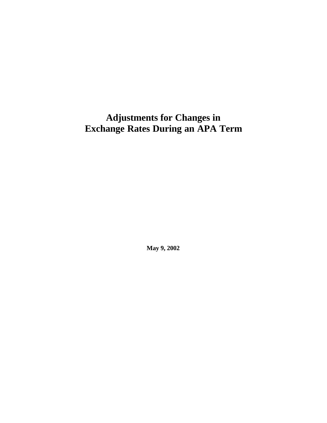# **Adjustments for Changes in Exchange Rates During an APA Term**

**May 9, 2002**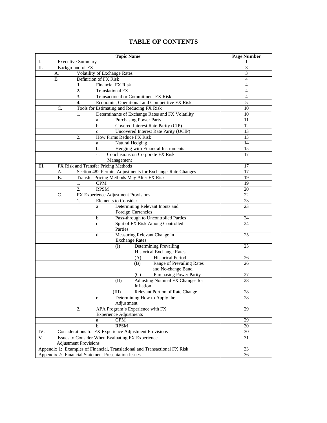### **TABLE OF CONTENTS**

| Ι.<br>Background of FX<br>3<br>П.<br>3<br>Volatility of Exchange Rates<br>A.<br>Definition of FX Risk<br><b>B.</b><br>4<br><b>Financial FX Risk</b><br>$\overline{4}$<br>1.<br>2.<br>$\overline{4}$<br><b>Translational FX</b><br>3.<br><b>Transactional or Commitment FX Risk</b><br>$\overline{4}$<br>$\overline{4}$ .<br>5<br>Economic, Operational and Competitive FX Risk<br>Tools for Estimating and Reducing FX Risk<br>C.<br>10<br>Determinants of Exchange Rates and FX Volatility<br>10<br>1.<br><b>Purchasing Power Party</b><br>11<br>a.<br>Covered Interest Rate Parity (CIP)<br>12<br>b.<br>Uncovered Interest Rate Parity (UCIP)<br>13<br>c.<br><b>How Firms Reduce FX Risk</b><br>13<br>2.<br>Natural Hedging<br>14<br>a.<br>Hedging with Financial Instruments<br>15<br>b.<br>Conclusions on Corporate FX Risk<br>17<br>c.<br>Management<br>FX Risk and Transfer Pricing Methods<br>Ш.<br>17<br>Section 482 Permits Adjustments for Exchange-Rate Changes<br>17<br>А.<br><b>B.</b><br>19<br>Transfer Pricing Methods May Alter FX Risk<br>19<br><b>CPM</b><br>1.<br>$\overline{2}$ .<br><b>RPSM</b><br>20<br>FX Experience Adjustment Provisions<br>22<br>C.<br><b>Elements</b> to Consider<br>23<br>1.<br>Determining Relevant Inputs and<br>23<br>a.<br>Foreign Currencies<br>Pass-through to Uncontrolled Parties<br>24<br>b.<br>Split of FX Risk Among Controlled<br>24<br>c.<br>Parties<br>Measuring Relevant Change in<br>25<br>d.<br><b>Exchange Rates</b><br>Determining Prevailing<br>(I)<br>25<br><b>Historical Exchange Rates</b><br><b>Historical Period</b><br>(A)<br>26<br>Range of Prevailing Rates<br>(B)<br>26<br>and No-change Band<br><b>Purchasing Power Parity</b><br>27<br>(C)<br>Adjusting Nominal FX Changes for<br>(II)<br>28<br>Inflation<br>(III) Relevant Portion of Rate Change<br>28<br>Determining How to Apply the<br>28<br>e.<br>Adjustment<br>APA Program's Experience with FX<br>2.<br>29<br><b>Experience Adjustments</b><br>CPM<br>29<br>a.<br><b>RPSM</b><br>b.<br>30<br>Considerations for FX Experience Adjustment Provisions<br>IV.<br>30<br>V.<br>Issues to Consider When Evaluating FX Experience<br>31<br><b>Adjustment Provisions</b><br>Appendix 1: Examples of Financial, Translational and Transactional FX Risk<br>33<br>Appendix 2: Financial Statement Presentation Issues<br>36 | <b>Topic Name</b>        | <b>Page Number</b> |
|------------------------------------------------------------------------------------------------------------------------------------------------------------------------------------------------------------------------------------------------------------------------------------------------------------------------------------------------------------------------------------------------------------------------------------------------------------------------------------------------------------------------------------------------------------------------------------------------------------------------------------------------------------------------------------------------------------------------------------------------------------------------------------------------------------------------------------------------------------------------------------------------------------------------------------------------------------------------------------------------------------------------------------------------------------------------------------------------------------------------------------------------------------------------------------------------------------------------------------------------------------------------------------------------------------------------------------------------------------------------------------------------------------------------------------------------------------------------------------------------------------------------------------------------------------------------------------------------------------------------------------------------------------------------------------------------------------------------------------------------------------------------------------------------------------------------------------------------------------------------------------------------------------------------------------------------------------------------------------------------------------------------------------------------------------------------------------------------------------------------------------------------------------------------------------------------------------------------------------------------------------------------------------------------------------------------------------------------------|--------------------------|--------------------|
|                                                                                                                                                                                                                                                                                                                                                                                                                                                                                                                                                                                                                                                                                                                                                                                                                                                                                                                                                                                                                                                                                                                                                                                                                                                                                                                                                                                                                                                                                                                                                                                                                                                                                                                                                                                                                                                                                                                                                                                                                                                                                                                                                                                                                                                                                                                                                      | <b>Executive Summary</b> |                    |
|                                                                                                                                                                                                                                                                                                                                                                                                                                                                                                                                                                                                                                                                                                                                                                                                                                                                                                                                                                                                                                                                                                                                                                                                                                                                                                                                                                                                                                                                                                                                                                                                                                                                                                                                                                                                                                                                                                                                                                                                                                                                                                                                                                                                                                                                                                                                                      |                          |                    |
|                                                                                                                                                                                                                                                                                                                                                                                                                                                                                                                                                                                                                                                                                                                                                                                                                                                                                                                                                                                                                                                                                                                                                                                                                                                                                                                                                                                                                                                                                                                                                                                                                                                                                                                                                                                                                                                                                                                                                                                                                                                                                                                                                                                                                                                                                                                                                      |                          |                    |
|                                                                                                                                                                                                                                                                                                                                                                                                                                                                                                                                                                                                                                                                                                                                                                                                                                                                                                                                                                                                                                                                                                                                                                                                                                                                                                                                                                                                                                                                                                                                                                                                                                                                                                                                                                                                                                                                                                                                                                                                                                                                                                                                                                                                                                                                                                                                                      |                          |                    |
|                                                                                                                                                                                                                                                                                                                                                                                                                                                                                                                                                                                                                                                                                                                                                                                                                                                                                                                                                                                                                                                                                                                                                                                                                                                                                                                                                                                                                                                                                                                                                                                                                                                                                                                                                                                                                                                                                                                                                                                                                                                                                                                                                                                                                                                                                                                                                      |                          |                    |
|                                                                                                                                                                                                                                                                                                                                                                                                                                                                                                                                                                                                                                                                                                                                                                                                                                                                                                                                                                                                                                                                                                                                                                                                                                                                                                                                                                                                                                                                                                                                                                                                                                                                                                                                                                                                                                                                                                                                                                                                                                                                                                                                                                                                                                                                                                                                                      |                          |                    |
|                                                                                                                                                                                                                                                                                                                                                                                                                                                                                                                                                                                                                                                                                                                                                                                                                                                                                                                                                                                                                                                                                                                                                                                                                                                                                                                                                                                                                                                                                                                                                                                                                                                                                                                                                                                                                                                                                                                                                                                                                                                                                                                                                                                                                                                                                                                                                      |                          |                    |
|                                                                                                                                                                                                                                                                                                                                                                                                                                                                                                                                                                                                                                                                                                                                                                                                                                                                                                                                                                                                                                                                                                                                                                                                                                                                                                                                                                                                                                                                                                                                                                                                                                                                                                                                                                                                                                                                                                                                                                                                                                                                                                                                                                                                                                                                                                                                                      |                          |                    |
|                                                                                                                                                                                                                                                                                                                                                                                                                                                                                                                                                                                                                                                                                                                                                                                                                                                                                                                                                                                                                                                                                                                                                                                                                                                                                                                                                                                                                                                                                                                                                                                                                                                                                                                                                                                                                                                                                                                                                                                                                                                                                                                                                                                                                                                                                                                                                      |                          |                    |
|                                                                                                                                                                                                                                                                                                                                                                                                                                                                                                                                                                                                                                                                                                                                                                                                                                                                                                                                                                                                                                                                                                                                                                                                                                                                                                                                                                                                                                                                                                                                                                                                                                                                                                                                                                                                                                                                                                                                                                                                                                                                                                                                                                                                                                                                                                                                                      |                          |                    |
|                                                                                                                                                                                                                                                                                                                                                                                                                                                                                                                                                                                                                                                                                                                                                                                                                                                                                                                                                                                                                                                                                                                                                                                                                                                                                                                                                                                                                                                                                                                                                                                                                                                                                                                                                                                                                                                                                                                                                                                                                                                                                                                                                                                                                                                                                                                                                      |                          |                    |
|                                                                                                                                                                                                                                                                                                                                                                                                                                                                                                                                                                                                                                                                                                                                                                                                                                                                                                                                                                                                                                                                                                                                                                                                                                                                                                                                                                                                                                                                                                                                                                                                                                                                                                                                                                                                                                                                                                                                                                                                                                                                                                                                                                                                                                                                                                                                                      |                          |                    |
|                                                                                                                                                                                                                                                                                                                                                                                                                                                                                                                                                                                                                                                                                                                                                                                                                                                                                                                                                                                                                                                                                                                                                                                                                                                                                                                                                                                                                                                                                                                                                                                                                                                                                                                                                                                                                                                                                                                                                                                                                                                                                                                                                                                                                                                                                                                                                      |                          |                    |
|                                                                                                                                                                                                                                                                                                                                                                                                                                                                                                                                                                                                                                                                                                                                                                                                                                                                                                                                                                                                                                                                                                                                                                                                                                                                                                                                                                                                                                                                                                                                                                                                                                                                                                                                                                                                                                                                                                                                                                                                                                                                                                                                                                                                                                                                                                                                                      |                          |                    |
|                                                                                                                                                                                                                                                                                                                                                                                                                                                                                                                                                                                                                                                                                                                                                                                                                                                                                                                                                                                                                                                                                                                                                                                                                                                                                                                                                                                                                                                                                                                                                                                                                                                                                                                                                                                                                                                                                                                                                                                                                                                                                                                                                                                                                                                                                                                                                      |                          |                    |
|                                                                                                                                                                                                                                                                                                                                                                                                                                                                                                                                                                                                                                                                                                                                                                                                                                                                                                                                                                                                                                                                                                                                                                                                                                                                                                                                                                                                                                                                                                                                                                                                                                                                                                                                                                                                                                                                                                                                                                                                                                                                                                                                                                                                                                                                                                                                                      |                          |                    |
|                                                                                                                                                                                                                                                                                                                                                                                                                                                                                                                                                                                                                                                                                                                                                                                                                                                                                                                                                                                                                                                                                                                                                                                                                                                                                                                                                                                                                                                                                                                                                                                                                                                                                                                                                                                                                                                                                                                                                                                                                                                                                                                                                                                                                                                                                                                                                      |                          |                    |
|                                                                                                                                                                                                                                                                                                                                                                                                                                                                                                                                                                                                                                                                                                                                                                                                                                                                                                                                                                                                                                                                                                                                                                                                                                                                                                                                                                                                                                                                                                                                                                                                                                                                                                                                                                                                                                                                                                                                                                                                                                                                                                                                                                                                                                                                                                                                                      |                          |                    |
|                                                                                                                                                                                                                                                                                                                                                                                                                                                                                                                                                                                                                                                                                                                                                                                                                                                                                                                                                                                                                                                                                                                                                                                                                                                                                                                                                                                                                                                                                                                                                                                                                                                                                                                                                                                                                                                                                                                                                                                                                                                                                                                                                                                                                                                                                                                                                      |                          |                    |
|                                                                                                                                                                                                                                                                                                                                                                                                                                                                                                                                                                                                                                                                                                                                                                                                                                                                                                                                                                                                                                                                                                                                                                                                                                                                                                                                                                                                                                                                                                                                                                                                                                                                                                                                                                                                                                                                                                                                                                                                                                                                                                                                                                                                                                                                                                                                                      |                          |                    |
|                                                                                                                                                                                                                                                                                                                                                                                                                                                                                                                                                                                                                                                                                                                                                                                                                                                                                                                                                                                                                                                                                                                                                                                                                                                                                                                                                                                                                                                                                                                                                                                                                                                                                                                                                                                                                                                                                                                                                                                                                                                                                                                                                                                                                                                                                                                                                      |                          |                    |
|                                                                                                                                                                                                                                                                                                                                                                                                                                                                                                                                                                                                                                                                                                                                                                                                                                                                                                                                                                                                                                                                                                                                                                                                                                                                                                                                                                                                                                                                                                                                                                                                                                                                                                                                                                                                                                                                                                                                                                                                                                                                                                                                                                                                                                                                                                                                                      |                          |                    |
|                                                                                                                                                                                                                                                                                                                                                                                                                                                                                                                                                                                                                                                                                                                                                                                                                                                                                                                                                                                                                                                                                                                                                                                                                                                                                                                                                                                                                                                                                                                                                                                                                                                                                                                                                                                                                                                                                                                                                                                                                                                                                                                                                                                                                                                                                                                                                      |                          |                    |
|                                                                                                                                                                                                                                                                                                                                                                                                                                                                                                                                                                                                                                                                                                                                                                                                                                                                                                                                                                                                                                                                                                                                                                                                                                                                                                                                                                                                                                                                                                                                                                                                                                                                                                                                                                                                                                                                                                                                                                                                                                                                                                                                                                                                                                                                                                                                                      |                          |                    |
|                                                                                                                                                                                                                                                                                                                                                                                                                                                                                                                                                                                                                                                                                                                                                                                                                                                                                                                                                                                                                                                                                                                                                                                                                                                                                                                                                                                                                                                                                                                                                                                                                                                                                                                                                                                                                                                                                                                                                                                                                                                                                                                                                                                                                                                                                                                                                      |                          |                    |
|                                                                                                                                                                                                                                                                                                                                                                                                                                                                                                                                                                                                                                                                                                                                                                                                                                                                                                                                                                                                                                                                                                                                                                                                                                                                                                                                                                                                                                                                                                                                                                                                                                                                                                                                                                                                                                                                                                                                                                                                                                                                                                                                                                                                                                                                                                                                                      |                          |                    |
|                                                                                                                                                                                                                                                                                                                                                                                                                                                                                                                                                                                                                                                                                                                                                                                                                                                                                                                                                                                                                                                                                                                                                                                                                                                                                                                                                                                                                                                                                                                                                                                                                                                                                                                                                                                                                                                                                                                                                                                                                                                                                                                                                                                                                                                                                                                                                      |                          |                    |
|                                                                                                                                                                                                                                                                                                                                                                                                                                                                                                                                                                                                                                                                                                                                                                                                                                                                                                                                                                                                                                                                                                                                                                                                                                                                                                                                                                                                                                                                                                                                                                                                                                                                                                                                                                                                                                                                                                                                                                                                                                                                                                                                                                                                                                                                                                                                                      |                          |                    |
|                                                                                                                                                                                                                                                                                                                                                                                                                                                                                                                                                                                                                                                                                                                                                                                                                                                                                                                                                                                                                                                                                                                                                                                                                                                                                                                                                                                                                                                                                                                                                                                                                                                                                                                                                                                                                                                                                                                                                                                                                                                                                                                                                                                                                                                                                                                                                      |                          |                    |
|                                                                                                                                                                                                                                                                                                                                                                                                                                                                                                                                                                                                                                                                                                                                                                                                                                                                                                                                                                                                                                                                                                                                                                                                                                                                                                                                                                                                                                                                                                                                                                                                                                                                                                                                                                                                                                                                                                                                                                                                                                                                                                                                                                                                                                                                                                                                                      |                          |                    |
|                                                                                                                                                                                                                                                                                                                                                                                                                                                                                                                                                                                                                                                                                                                                                                                                                                                                                                                                                                                                                                                                                                                                                                                                                                                                                                                                                                                                                                                                                                                                                                                                                                                                                                                                                                                                                                                                                                                                                                                                                                                                                                                                                                                                                                                                                                                                                      |                          |                    |
|                                                                                                                                                                                                                                                                                                                                                                                                                                                                                                                                                                                                                                                                                                                                                                                                                                                                                                                                                                                                                                                                                                                                                                                                                                                                                                                                                                                                                                                                                                                                                                                                                                                                                                                                                                                                                                                                                                                                                                                                                                                                                                                                                                                                                                                                                                                                                      |                          |                    |
|                                                                                                                                                                                                                                                                                                                                                                                                                                                                                                                                                                                                                                                                                                                                                                                                                                                                                                                                                                                                                                                                                                                                                                                                                                                                                                                                                                                                                                                                                                                                                                                                                                                                                                                                                                                                                                                                                                                                                                                                                                                                                                                                                                                                                                                                                                                                                      |                          |                    |
|                                                                                                                                                                                                                                                                                                                                                                                                                                                                                                                                                                                                                                                                                                                                                                                                                                                                                                                                                                                                                                                                                                                                                                                                                                                                                                                                                                                                                                                                                                                                                                                                                                                                                                                                                                                                                                                                                                                                                                                                                                                                                                                                                                                                                                                                                                                                                      |                          |                    |
|                                                                                                                                                                                                                                                                                                                                                                                                                                                                                                                                                                                                                                                                                                                                                                                                                                                                                                                                                                                                                                                                                                                                                                                                                                                                                                                                                                                                                                                                                                                                                                                                                                                                                                                                                                                                                                                                                                                                                                                                                                                                                                                                                                                                                                                                                                                                                      |                          |                    |
|                                                                                                                                                                                                                                                                                                                                                                                                                                                                                                                                                                                                                                                                                                                                                                                                                                                                                                                                                                                                                                                                                                                                                                                                                                                                                                                                                                                                                                                                                                                                                                                                                                                                                                                                                                                                                                                                                                                                                                                                                                                                                                                                                                                                                                                                                                                                                      |                          |                    |
|                                                                                                                                                                                                                                                                                                                                                                                                                                                                                                                                                                                                                                                                                                                                                                                                                                                                                                                                                                                                                                                                                                                                                                                                                                                                                                                                                                                                                                                                                                                                                                                                                                                                                                                                                                                                                                                                                                                                                                                                                                                                                                                                                                                                                                                                                                                                                      |                          |                    |
|                                                                                                                                                                                                                                                                                                                                                                                                                                                                                                                                                                                                                                                                                                                                                                                                                                                                                                                                                                                                                                                                                                                                                                                                                                                                                                                                                                                                                                                                                                                                                                                                                                                                                                                                                                                                                                                                                                                                                                                                                                                                                                                                                                                                                                                                                                                                                      |                          |                    |
|                                                                                                                                                                                                                                                                                                                                                                                                                                                                                                                                                                                                                                                                                                                                                                                                                                                                                                                                                                                                                                                                                                                                                                                                                                                                                                                                                                                                                                                                                                                                                                                                                                                                                                                                                                                                                                                                                                                                                                                                                                                                                                                                                                                                                                                                                                                                                      |                          |                    |
|                                                                                                                                                                                                                                                                                                                                                                                                                                                                                                                                                                                                                                                                                                                                                                                                                                                                                                                                                                                                                                                                                                                                                                                                                                                                                                                                                                                                                                                                                                                                                                                                                                                                                                                                                                                                                                                                                                                                                                                                                                                                                                                                                                                                                                                                                                                                                      |                          |                    |
|                                                                                                                                                                                                                                                                                                                                                                                                                                                                                                                                                                                                                                                                                                                                                                                                                                                                                                                                                                                                                                                                                                                                                                                                                                                                                                                                                                                                                                                                                                                                                                                                                                                                                                                                                                                                                                                                                                                                                                                                                                                                                                                                                                                                                                                                                                                                                      |                          |                    |
|                                                                                                                                                                                                                                                                                                                                                                                                                                                                                                                                                                                                                                                                                                                                                                                                                                                                                                                                                                                                                                                                                                                                                                                                                                                                                                                                                                                                                                                                                                                                                                                                                                                                                                                                                                                                                                                                                                                                                                                                                                                                                                                                                                                                                                                                                                                                                      |                          |                    |
|                                                                                                                                                                                                                                                                                                                                                                                                                                                                                                                                                                                                                                                                                                                                                                                                                                                                                                                                                                                                                                                                                                                                                                                                                                                                                                                                                                                                                                                                                                                                                                                                                                                                                                                                                                                                                                                                                                                                                                                                                                                                                                                                                                                                                                                                                                                                                      |                          |                    |
|                                                                                                                                                                                                                                                                                                                                                                                                                                                                                                                                                                                                                                                                                                                                                                                                                                                                                                                                                                                                                                                                                                                                                                                                                                                                                                                                                                                                                                                                                                                                                                                                                                                                                                                                                                                                                                                                                                                                                                                                                                                                                                                                                                                                                                                                                                                                                      |                          |                    |
|                                                                                                                                                                                                                                                                                                                                                                                                                                                                                                                                                                                                                                                                                                                                                                                                                                                                                                                                                                                                                                                                                                                                                                                                                                                                                                                                                                                                                                                                                                                                                                                                                                                                                                                                                                                                                                                                                                                                                                                                                                                                                                                                                                                                                                                                                                                                                      |                          |                    |
|                                                                                                                                                                                                                                                                                                                                                                                                                                                                                                                                                                                                                                                                                                                                                                                                                                                                                                                                                                                                                                                                                                                                                                                                                                                                                                                                                                                                                                                                                                                                                                                                                                                                                                                                                                                                                                                                                                                                                                                                                                                                                                                                                                                                                                                                                                                                                      |                          |                    |
|                                                                                                                                                                                                                                                                                                                                                                                                                                                                                                                                                                                                                                                                                                                                                                                                                                                                                                                                                                                                                                                                                                                                                                                                                                                                                                                                                                                                                                                                                                                                                                                                                                                                                                                                                                                                                                                                                                                                                                                                                                                                                                                                                                                                                                                                                                                                                      |                          |                    |
|                                                                                                                                                                                                                                                                                                                                                                                                                                                                                                                                                                                                                                                                                                                                                                                                                                                                                                                                                                                                                                                                                                                                                                                                                                                                                                                                                                                                                                                                                                                                                                                                                                                                                                                                                                                                                                                                                                                                                                                                                                                                                                                                                                                                                                                                                                                                                      |                          |                    |
|                                                                                                                                                                                                                                                                                                                                                                                                                                                                                                                                                                                                                                                                                                                                                                                                                                                                                                                                                                                                                                                                                                                                                                                                                                                                                                                                                                                                                                                                                                                                                                                                                                                                                                                                                                                                                                                                                                                                                                                                                                                                                                                                                                                                                                                                                                                                                      |                          |                    |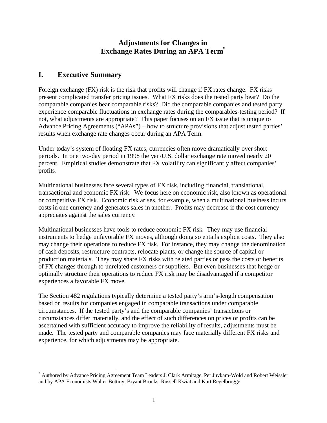# **Adjustments for Changes in Exchange Rates During an APA Term\***

# **I. Executive Summary**

 $\overline{a}$ 

Foreign exchange (FX) risk is the risk that profits will change if FX rates change. FX risks present complicated transfer pricing issues. What FX risks does the tested party bear? Do the comparable companies bear comparable risks? Did the comparable companies and tested party experience comparable fluctuations in exchange rates during the comparables-testing period? If not, what adjustments are appropriate? This paper focuses on an FX issue that is unique to Advance Pricing Agreements ("APAs") – how to structure provisions that adjust tested parties' results when exchange rate changes occur during an APA Term.

Under today's system of floating FX rates, currencies often move dramatically over short periods. In one two-day period in 1998 the yen/U.S. dollar exchange rate moved nearly 20 percent. Empirical studies demonstrate that FX volatility can significantly affect companies' profits.

Multinational businesses face several types of FX risk, including financial, translational, transactional and economic FX risk. We focus here on economic risk, also known as operational or competitive FX risk. Economic risk arises, for example, when a multinational business incurs costs in one currency and generates sales in another. Profits may decrease if the cost currency appreciates against the sales currency.

Multinational businesses have tools to reduce economic FX risk. They may use financial instruments to hedge unfavorable FX moves, although doing so entails explicit costs. They also may change their operations to reduce FX risk. For instance, they may change the denomination of cash deposits, restructure contracts, relocate plants, or change the source of capital or production materials. They may share FX risks with related parties or pass the costs or benefits of FX changes through to unrelated customers or suppliers. But even businesses that hedge or optimally structure their operations to reduce FX risk may be disadvantaged if a competitor experiences a favorable FX move.

The Section 482 regulations typically determine a tested party's arm's-length compensation based on results for companies engaged in comparable transactions under comparable circumstances. If the tested party's and the comparable companies' transactions or circumstances differ materially, and the effect of such differences on prices or profits can be ascertained with sufficient accuracy to improve the reliability of results, adjustments must be made. The tested party and comparable companies may face materially different FX risks and experience, for which adjustments may be appropriate.

<sup>\*</sup> Authored by Advance Pricing Agreement Team Leaders J. Clark Armitage, Per Juvkam-Wold and Robert Weissler and by APA Economists Walter Bottiny, Bryant Brooks, Russell Kwiat and Kurt Regelbrugge.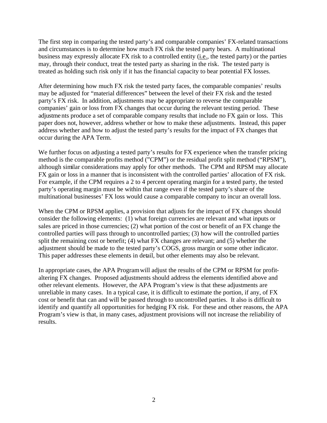The first step in comparing the tested party's and comparable companies' FX-related transactions and circumstances is to determine how much FX risk the tested party bears. A multinational business may expressly allocate FX risk to a controlled entity (i.e., the tested party) or the parties may, through their conduct, treat the tested party as sharing in the risk. The tested party is treated as holding such risk only if it has the financial capacity to bear potential FX losses.

After determining how much FX risk the tested party faces, the comparable companies' results may be adjusted for "material differences" between the level of their FX risk and the tested party's FX risk. In addition, adjustments may be appropriate to reverse the comparable companies' gain or loss from FX changes that occur during the relevant testing period. These adjustme nts produce a set of comparable company results that include no FX gain or loss. This paper does not, however, address whether or how to make these adjustments. Instead, this paper address whether and how to adjust the tested party's results for the impact of FX changes that occur during the APA Term.

We further focus on adjusting a tested party's results for FX experience when the transfer pricing method is the comparable profits method ("CPM") or the residual profit split method ("RPSM"), although similar considerations may apply for other methods. The CPM and RPSM may allocate FX gain or loss in a manner that is inconsistent with the controlled parties' allocation of FX risk. For example, if the CPM requires a 2 to 4 percent operating margin for a tested party, the tested party's operating margin must be within that range even if the tested party's share of the multinational businesses' FX loss would cause a comparable company to incur an overall loss.

When the CPM or RPSM applies, a provision that adjusts for the impact of FX changes should consider the following elements: (1) what foreign currencies are relevant and what inputs or sales are priced in those currencies; (2) what portion of the cost or benefit of an FX change the controlled parties will pass through to uncontrolled parties; (3) how will the controlled parties split the remaining cost or benefit; (4) what FX changes are relevant; and (5) whether the adjustment should be made to the tested party's COGS, gross margin or some other indicator. This paper addresses these elements in detail, but other elements may also be relevant.

In appropriate cases, the APA Program will adjust the results of the CPM or RPSM for profitaltering FX changes. Proposed adjustments should address the elements identified above and other relevant elements. However, the APA Program's view is that these adjustments are unreliable in many cases. In a typical case, it is difficult to estimate the portion, if any, of FX cost or benefit that can and will be passed through to uncontrolled parties. It also is difficult to identify and quantify all opportunities for hedging FX risk. For these and other reasons, the APA Program's view is that, in many cases, adjustment provisions will not increase the reliability of results.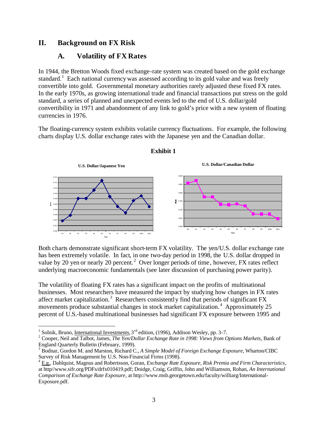# **II. Background on FX Risk**

# **A. Volatility of FX Rates**

In 1944, the Bretton Woods fixed exchange-rate system was created based on the gold exchange standard.<sup>1</sup> Each national currency was assessed according to its gold value and was freely convertible into gold. Governmental monetary authorities rarely adjusted these fixed FX rates. In the early 1970s, as growing international trade and financial transactions put stress on the gold standard, a series of planned and unexpected events led to the end of U.S. dollar/gold convertibility in 1971 and abandonment of any link to gold's price with a new system of floating currencies in 1976.

The floating-currency system exhibits volatile currency fluctuations. For example, the following charts display U.S. dollar exchange rates with the Japanese yen and the Canadian dollar.



### **Exhibit 1**

Both charts demonstrate significant short-term FX volatility. The yen/U.S. dollar exchange rate has been extremely volatile. In fact, in one two-day period in 1998, the U.S. dollar dropped in value by 20 yen or nearly 20 percent.<sup>2</sup> Over longer periods of time, however, FX rates reflect underlying macroeconomic fundamentals (see later discussion of purchasing power parity).

The volatility of floating FX rates has a significant impact on the profits of multinational businesses. Most researchers have measured the impact by studying how changes in FX rates affect market capitalization.<sup>3</sup> Researchers consistently find that periods of significant FX movements produce substantial changes in stock market capitalization.<sup>4</sup> Approximately 25 percent of U.S.-based multinational businesses had significant FX exposure between 1995 and

<sup>&</sup>lt;sup>1</sup> Solnik, Bruno, <u>International Investments,</u> 3<sup>rd</sup> edition, (1996), Addison Wesley, pp. 3-7.

<sup>&</sup>lt;sup>2</sup> Cooper, Neil and Talbot, James, *The Yen/Dollar Exchange Rate in 1998: Views from Options Markets*, Bank of England Quarterly Bulletin (February, 1999).

<sup>3</sup> Bodnar, Gordon M. and Marston, Richard C., *A Simple Model of Foreign Exchange Exposure*, Wharton/CIBC Survey of Risk Management by U.S. Non-Financial Firms (1998).

<sup>4</sup> E.g., Dahlquist, Magnus and Robertsson, Goran, *Exchange Rate Exposure, Risk Premia and Firm Characteristics*, at http//www.sifr.org/PDFs/drfx010419.pdf; Doidge, Craig, Griffin, John and Williamson, Rohan, *An International Comparison of Exchange Rate Exposure*, at http://www.msb.georgetown.edu/faculty/williarg/International-Exposure.pdf.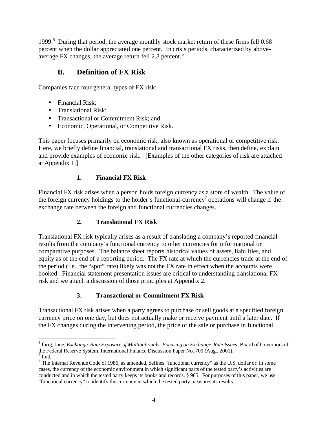1999.<sup>5</sup> During that period, the average monthly stock market return of these firms fell 0.68 percent when the dollar appreciated one percent. In crisis periods, characterized by aboveaverage FX changes, the average return fell 2.8 percent.<sup>6</sup>

# **B. Definition of FX Risk**

Companies face four general types of FX risk:

- Financial Risk;
- Translational Risk:
- Transactional or Commitment Risk; and
- Economic, Operational, or Competitive Risk.

This paper focuses primarily on economic risk, also known as operational or competitive risk. Here, we briefly define financial, translational and transactional FX risks, then define, explain and provide examples of economic risk. [Examples of the other categories of risk are attached at Appendix 1.]

# **1. Financial FX Risk**

Financial FX risk arises when a person holds foreign currency as a store of wealth. The value of the foreign currency holdings to the holder's functional-currency<sup>7</sup> operations will change if the exchange rate between the foreign and functional currencies changes.

# **2. Translational FX Risk**

Translational FX risk typically arises as a result of translating a company's reported financial results from the company's functional currency to other currencies for informational or comparative purposes. The balance sheet reports historical values of assets, liabilities, and equity as of the end of a reporting period. The FX rate at which the currencies trade at the end of the period (i.e., the "spot" rate) likely was not the FX rate in effect when the accounts were booked. Financial statement presentation issues are critical to understanding translational FX risk and we attach a discussion of those principles at Appendix 2.

# **3. Transactional or Commitment FX Risk**

Transactional FX risk arises when a party agrees to purchase or sell goods at a specified foreign currency price on one day, but does not actually make or receive payment until a later date. If the FX changes during the intervening period, the price of the sale or purchase in functional

 $\overline{a}$ 5 Ihrig, Jane, *Exchange-Rate Exposure of Multinationals: Focusing on Exchange-Rate Issues*, Board of Governors of the Federal Reserve System, International Finance Discussion Paper No. 709 (Aug., 2001).

<sup>6</sup> Ibid.

<sup>&</sup>lt;sup>7</sup> The Internal Revenue Code of 1986, as amended, defines "functional currency" as the U.S. dollar or, in some cases, the currency of the economic environment in which significant parts of the tested party's activities are conducted and in which the tested party keeps its books and records. § 985. For purposes of this paper, we use "functional currency" to identify the currency in which the tested party measures its results.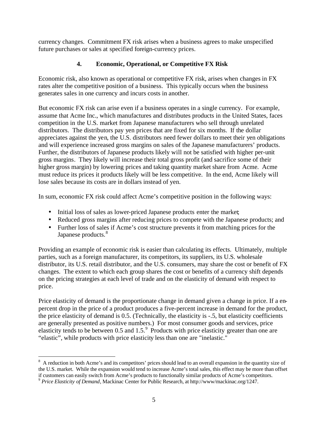currency changes. Commitment FX risk arises when a business agrees to make unspecified future purchases or sales at specified foreign-currency prices.

### **4. Economic, Operational, or Competitive FX Risk**

Economic risk, also known as operational or competitive FX risk, arises when changes in FX rates alter the competitive position of a business. This typically occurs when the business generates sales in one currency and incurs costs in another.

But economic FX risk can arise even if a business operates in a single currency. For example, assume that Acme Inc., which manufactures and distributes products in the United States, faces competition in the U.S. market from Japanese manufacturers who sell through unrelated distributors. The distributors pay yen prices that are fixed for six months. If the dollar appreciates against the yen, the U.S. distributors need fewer dollars to meet their yen obligations and will experience increased gross margins on sales of the Japanese manufacturers' products. Further, the distributors of Japanese products likely will not be satisfied with higher per-unit gross margins. They likely will increase their total gross profit (and sacrifice some of their higher gross margin) by lowering prices and taking quantity market share from Acme. Acme must reduce its prices it products likely will be less competitive. In the end, Acme likely will lose sales because its costs are in dollars instead of yen.

In sum, economic FX risk could affect Acme's competitive position in the following ways:

- Initial loss of sales as lower-priced Japanese products enter the market;
- Reduced gross margins after reducing prices to compete with the Japanese products; and
- Further loss of sales if Acme's cost structure prevents it from matching prices for the Japanese products.<sup>8</sup>

Providing an example of economic risk is easier than calculating its effects. Ultimately, multiple parties, such as a foreign manufacturer, its competitors, its suppliers, its U.S. wholesale distributor, its U.S. retail distributor, and the U.S. consumers, may share the cost or benefit of FX changes. The extent to which each group shares the cost or benefits of a currency shift depends on the pricing strategies at each level of trade and on the elasticity of demand with respect to price.

Price elasticity of demand is the proportionate change in demand given a change in price. If a enpercent drop in the price of a product produces a five-percent increase in demand for the product, the price elasticity of demand is 0.5. (Technically, the elasticity is -.5, but elasticity coefficients are generally presented as positive numbers.) For most consumer goods and services, price elasticity tends to be between  $0.5$  and  $1.5$ .<sup>9</sup> Products with price elasticity greater than one are "elastic", while products with price elasticity less than one are "inelastic."

<sup>&</sup>lt;sup>8</sup> A reduction in both Acme's and its competitors' prices should lead to an overall expansion in the quantity size of the U.S. market. While the expansion would tend to increase Acme's total sales, this effect may be more than offset if customers can easily switch from Acme's products to functionally similar products of Acme's competitors.

<sup>9</sup> *Price Elasticity of Demand*, Mackinac Center for Public Research, at http://www/mackinac.org/1247.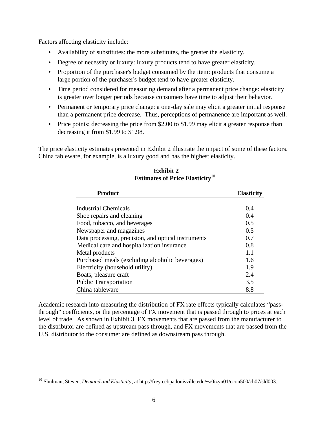Factors affecting elasticity include:

 $\overline{a}$ 

- Availability of substitutes: the more substitutes, the greater the elasticity.
- Degree of necessity or luxury: luxury products tend to have greater elasticity.
- Proportion of the purchaser's budget consumed by the item: products that consume a large portion of the purchaser's budget tend to have greater elasticity.
- Time period considered for measuring demand after a permanent price change: elasticity is greater over longer periods because consumers have time to adjust their behavior.
- Permanent or temporary price change: a one-day sale may elicit a greater initial response than a permanent price decrease. Thus, perceptions of permanence are important as well.
- Price points: decreasing the price from \$2.00 to \$1.99 may elicit a greater response than decreasing it from \$1.99 to \$1.98.

The price elasticity estimates presented in Exhibit 2 illustrate the impact of some of these factors. China tableware, for example, is a luxury good and has the highest elasticity.

| <b>Product</b>                                      | <b>Elasticity</b> |
|-----------------------------------------------------|-------------------|
|                                                     |                   |
| Industrial Chemicals                                | 0.4               |
| Shoe repairs and cleaning                           | 0.4               |
| Food, tobacco, and beverages                        | 0.5               |
| Newspaper and magazines                             | 0.5               |
| Data processing, precision, and optical instruments | 0.7               |
| Medical care and hospitalization insurance          | 0.8               |
| Metal products                                      | 1.1               |
| Purchased meals (excluding alcoholic beverages)     | 1.6               |
| Electricity (household utility)                     | 1.9               |
| Boats, pleasure craft                               | 2.4               |
| <b>Public Transportation</b>                        | 3.5               |
| China tableware                                     | 8.8               |

### **Exhibit 2 Estimates of Price Elasticity**<sup>10</sup>

Academic research into measuring the distribution of FX rate effects typically calculates "passthrough" coefficients, or the percentage of FX movement that is passed through to prices at each level of trade. As shown in Exhibit 3, FX movements that are passed from the manufacturer to the distributor are defined as upstream pass through, and FX movements that are passed from the U.S. distributor to the consumer are defined as downstream pass through.

<sup>10</sup> Shulman, Steven, *Demand and Elasticity*, at http://freya.cbpa.louisville.edu/~a0izyu01/econ500/ch07/sld003.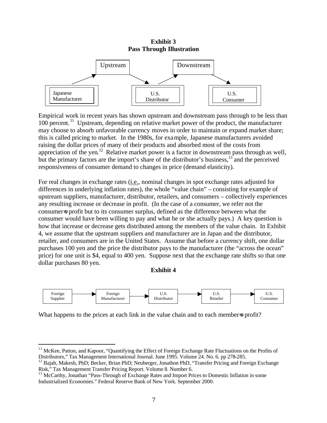#### **Exhibit 3 Pass Through Illustration**



Empirical work in recent years has shown upstream and downstream pass through to be less than 100 percent.<sup>11</sup> Upstream, depending on relative market power of the product, the manufacturer may choose to absorb unfavorable currency moves in order to maintain or expand market share; this is called pricing to market. In the 1980s, for example, Japanese manufacturers avoided raising the dollar prices of many of their products and absorbed most of the costs from appreciation of the yen.<sup>12</sup> Relative market power is a factor in downstream pass through as well, but the primary factors are the import's share of the distributor's business,<sup>13</sup> and the perceived responsiveness of consumer demand to changes in price (demand elasticity).

For real changes in exchange rates (*i.e.*, nominal changes in spot exchange rates adjusted for differences in underlying inflation rates), the whole "value chain" – consisting for example of upstream suppliers, manufacturer, distributor, retailers, and consumers – collectively experiences any resulting increase or decrease in profit. (In the case of a consumer, we refer not the consumer=s profit but to its consumer surplus, defined as the difference between what the consumer would have been willing to pay and what he or she actually pays.) A key question is how that increase or decrease gets distributed among the members of the value chain. In Exhibit 4, we assume that the upstream suppliers and manufacturer are in Japan and the distributor, retailer, and consumers are in the United States. Assume that before a currency shift, one dollar purchases 100 yen and the price the distributor pays to the manufacturer (the "across the ocean" price) for one unit is \$4, equal to 400 yen. Suppose next that the exchange rate shifts so that one dollar purchases 80 yen.

**Exhibit 4**



What happens to the prices at each link in the value chain and to each members profit?

<sup>&</sup>lt;sup>11</sup> McKee, Patton, and Kapoor, "Quantifying the Effect of Foreign Exchange Rate Fluctuations on the Profits of Distributors," Tax Management International Journal. June 1995. Volume 24. No. 6. pp 278-285.

<sup>&</sup>lt;sup>12</sup> Bajah, Makesh, PhD; Becker, Brian PhD; Neuberger, Jonathon PhD, "Transfer Pricing and Foreign Exchange Risk," Tax Management Transfer Pricing Report. Volume 8. Number 6.

<sup>&</sup>lt;sup>13</sup> McCarthy, Jonathan "Pass-Through of Exchange Rates and Import Prices to Domestic Inflation in some Industrialized Economies." Federal Reserve Bank of New York. September 2000.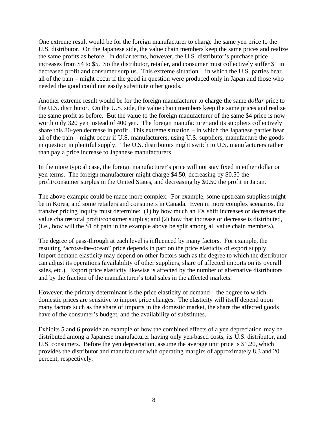One extreme result would be for the foreign manufacturer to charge the same yen price to the U.S. distributor. On the Japanese side, the value chain members keep the same prices and realize the same profits as before. In dollar terms, however, the U.S. distributor's purchase price increases from \$4 to \$5. So the distributor, retailer, and consumer must collectively suffer \$1 in decreased profit and consumer surplus. This extreme situation – in which the U.S. parties bear all of the pain – might occur if the good in question were produced only in Japan and those who needed the good could not easily substitute other goods.

Another extreme result would be for the foreign manufacturer to charge the same *dollar* price to the U.S. distributor. On the U.S. side, the value chain members keep the same prices and realize the same profit as before. But the value to the foreign manufacturer of the same \$4 price is now worth only 320 yen instead of 400 yen. The foreign manufacturer and its suppliers collectively share this 80-yen decrease in profit. This extreme situation – in which the Japanese parties bear all of the pain – might occur if U.S. manufacturers, using U.S. suppliers, manufacture the goods in question in plentiful supply. The U.S. distributors might switch to U.S. manufacturers rather than pay a price increase to Japanese manufacturers.

In the more typical case, the foreign manufacturer's price will not stay fixed in either dollar or yen terms. The foreign manufacturer might charge \$4.50, decreasing by \$0.50 the profit/consumer surplus in the United States, and decreasing by \$0.50 the profit in Japan.

The above example could be made more complex. For example, some upstream suppliers might be in Korea, and some retailers and consumers in Canada. Even in more complex scenarios, the transfer pricing inquiry must determine: (1) by how much an FX shift increases or decreases the value chains total profit/consumer surplus; and (2) how that increase or decrease is distributed, (i.e., how will the \$1 of pain in the example above be split among all value chain members).

The degree of pass-through at each level is influenced by many factors. For example, the resulting "across-the-ocean" price depends in part on the price elasticity of export supply. Import demand elasticity may depend on other factors such as the degree to which the distributor can adjust its operations (availability of other suppliers, share of affected imports on its overall sales, etc.). Export price elasticity likewise is affected by the number of alternative distributors and by the fraction of the manufacturer's total sales in the affected markets.

However, the primary determinant is the price elasticity of demand – the degree to which domestic prices are sensitive to import price changes. The elasticity will itself depend upon many factors such as the share of imports in the domestic market, the share the affected goods have of the consumer's budget, and the availability of substitutes.

Exhibits 5 and 6 provide an example of how the combined effects of a yen depreciation may be distributed among a Japanese manufacturer having only yen-based costs, its U.S. distributor, and U.S. consumers. Before the yen depreciation, assume the average unit price is \$1.20, which provides the distributor and manufacturer with operating margins of approximately 8.3 and 20 percent, respectively: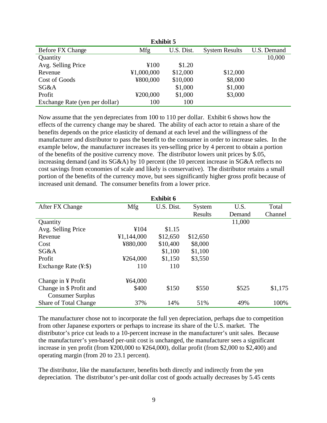| <b>Exhibit 5</b>               |            |            |                       |             |  |
|--------------------------------|------------|------------|-----------------------|-------------|--|
| <b>Before FX Change</b>        | Mfg        | U.S. Dist. | <b>System Results</b> | U.S. Demand |  |
| Quantity                       |            |            |                       | 10,000      |  |
| Avg. Selling Price             | ¥100       | \$1.20     |                       |             |  |
| Revenue                        | ¥1,000,000 | \$12,000   | \$12,000              |             |  |
| Cost of Goods                  | ¥800,000   | \$10,000   | \$8,000               |             |  |
| SG&A                           |            | \$1,000    | \$1,000               |             |  |
| Profit                         | ¥200,000   | \$1,000    | \$3,000               |             |  |
| Exchange Rate (yen per dollar) | 100        | 100        |                       |             |  |

Now assume that the yen depreciates from 100 to 110 per dollar. Exhibit 6 shows how the effects of the currency change may be shared. The ability of each actor to retain a share of the benefits depends on the price elasticity of demand at each level and the willingness of the manufacturer and distributor to pass the benefit to the consumer in order to increase sales. In the example below, the manufacturer increases its yen-selling price by 4 percent to obtain a portion of the benefits of the positive currency move. The distributor lowers unit prices by \$.05, increasing demand (and its SG&A) by 10 percent (the 10 percent increase in SG&A reflects no cost savings from economies of scale and likely is conservative). The distributor retains a small portion of the benefits of the currency move, but sees significantly higher gross profit because of increased unit demand. The consumer benefits from a lower price.

| <b>Exhibit 6</b>              |            |            |          |        |         |  |  |
|-------------------------------|------------|------------|----------|--------|---------|--|--|
| After FX Change               | Mfg        | U.S. Dist. | System   | U.S.   | Total   |  |  |
|                               |            |            | Results  | Demand | Channel |  |  |
| Quantity                      |            |            |          | 11,000 |         |  |  |
| Avg. Selling Price            | ¥104       | \$1.15     |          |        |         |  |  |
| Revenue                       | ¥1,144,000 | \$12,650   | \$12,650 |        |         |  |  |
| Cost                          | ¥880,000   | \$10,400   | \$8,000  |        |         |  |  |
| SG&A                          |            | \$1,100    | \$1,100  |        |         |  |  |
| Profit                        | ¥264,000   | \$1,150    | \$3,550  |        |         |  |  |
| Exchange Rate $(\frac{4}{5})$ | 110        | 110        |          |        |         |  |  |
| Change in ¥ Profit            | ¥64,000    |            |          |        |         |  |  |
| Change in \$ Profit and       | \$400      | \$150      | \$550    | \$525  | \$1,175 |  |  |
| <b>Consumer Surplus</b>       |            |            |          |        |         |  |  |
| <b>Share of Total Change</b>  | 37%        | 14%        | 51%      | 49%    | 100%    |  |  |

The manufacturer chose not to incorporate the full yen depreciation, perhaps due to competition from other Japanese exporters or perhaps to increase its share of the U.S. market. The distributor's price cut leads to a 10-percent increase in the manufacturer's unit sales. Because the manufacturer's yen-based per-unit cost is unchanged, the manufacturer sees a significant increase in yen profit (from ¥200,000 to ¥264,000), dollar profit (from \$2,000 to \$2,400) and operating margin (from 20 to 23.1 percent).

The distributor, like the manufacturer, benefits both directly and indirectly from the yen depreciation. The distributor's per-unit dollar cost of goods actually decreases by 5.45 cents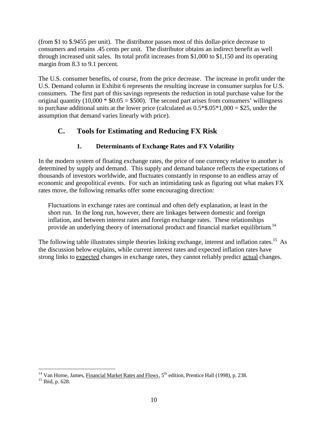(from \$1 to \$.9455 per unit). The distributor passes most of this dollar-price decrease to consumers and retains .45 cents per unit. The distributor obtains an indirect benefit as well through increased unit sales. Its total profit increases from \$1,000 to \$1,150 and its operating margin from 8.3 to 9.1 percent.

The U.S. consumer benefits, of course, from the price decrease. The increase in profit under the U.S. Demand column in Exhibit 6 represents the resulting increase in consumer surplus for U.S. consumers. The first part of this savings represents the reduction in total purchase value for the original quantity (10,000  $*$  \$0.05 = \$500). The second part arises from consumers' willingness to purchase additional units at the lower price (calculated as  $0.5*$ \$.05 $*$ 1,000 = \$25, under the assumption that demand varies linearly with price).

# **C. Tools for Estimating and Reducing FX Risk**

# **1. Determinants of Exchange Rates and FX Volatility**

In the modern system of floating exchange rates, the price of one currency relative to another is determined by supply and demand. This supply and demand balance reflects the expectations of thousands of investors worldwide, and fluctuates constantly in response to an endless array of economic and geopolitical events. For such an intimidating task as figuring out what makes FX rates move, the following remarks offer some encouraging direction:

Fluctuations in exchange rates are continual and often defy explanation, at least in the short run. In the long run, however, there are linkages between domestic and foreign inflation, and between interest rates and foreign exchange rates. These relationships provide an underlying theory of international product and financial market equilibrium.<sup>14</sup>

The following table illustrates simple theories linking exchange, interest and inflation rates.<sup>15</sup> As the discussion below explains, while current interest rates and expected inflation rates have strong links to expected changes in exchange rates, they cannot reliably predict actual changes.

<sup>&</sup>lt;sup>14</sup> Van Horne, James, Financial Market Rates and Flows,  $5<sup>th</sup>$  edition, Prentice Hall (1998), p. 238.

 $15$  Ibid, p. 628.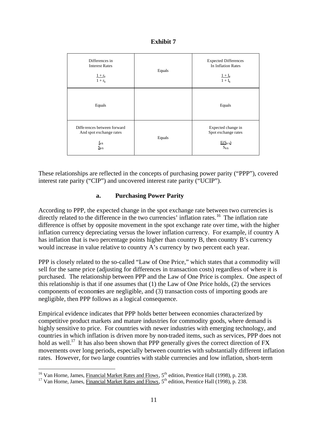| <b>Exhibit 7</b> |  |
|------------------|--|
|------------------|--|

| Differences in<br><b>Interest Rates</b><br>$1 + r_Y$<br>$1 + r_s$                                | Equals | <b>Expected Differences</b><br>In Inflation Rates<br>$1 + I_Y$<br>$1 + I_s$    |
|--------------------------------------------------------------------------------------------------|--------|--------------------------------------------------------------------------------|
| Equals                                                                                           |        | Equals                                                                         |
| Differences between forward<br>And spot exchange rates<br>$f_{\frac{1}{2}}$<br>$S_{\frac{Y}{S}}$ | Equals | Expected change in<br>Spot exchange rates<br>$E(S_{Y/S})$<br>$S_{\frac{Y}{3}}$ |

These relationships are reflected in the concepts of purchasing power parity ("PPP"), covered interest rate parity ("CIP") and uncovered interest rate parity ("UCIP").

### **a. Purchasing Power Parity**

According to PPP, the expected change in the spot exchange rate between two currencies is directly related to the difference in the two currencies' inflation rates.<sup>16</sup> The inflation rate difference is offset by opposite movement in the spot exchange rate over time, with the higher inflation currency depreciating versus the lower inflation currency. For example, if country A has inflation that is two percentage points higher than country B, then country B's currency would increase in value relative to country A's currency by two percent each year.

PPP is closely related to the so-called "Law of One Price," which states that a commodity will sell for the same price (adjusting for differences in transaction costs) regardless of where it is purchased. The relationship between PPP and the Law of One Price is complex. One aspect of this relationship is that if one assumes that (1) the Law of One Price holds, (2) the services components of economies are negligible, and (3) transaction costs of importing goods are negligible, then PPP follows as a logical consequence.

Empirical evidence indicates that PPP holds better between economies characterized by competitive product markets and mature industries for commodity goods, where demand is highly sensitive to price. For countries with newer industries with emerging technology, and countries in which inflation is driven more by non-traded items, such as services, PPP does not hold as well.<sup>17</sup> It has also been shown that PPP generally gives the correct direction of FX movements over long periods, especially between countries with substantially different inflation rates. However, for two large countries with stable currencies and low inflation, short-term

<sup>&</sup>lt;sup>16</sup> Van Horne, James, Financial Market Rates and Flows,  $5^{th}$  edition, Prentice Hall (1998), p. 238.

<sup>&</sup>lt;sup>17</sup> Van Horne, James, Financial Market Rates and Flows,  $5<sup>th</sup>$  edition, Prentice Hall (1998), p. 238.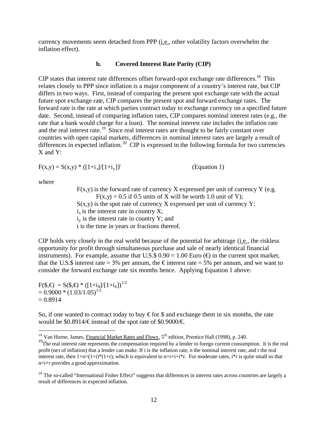currency movements seem detached from PPP (i.e., other volatility factors overwhelm the inflation effect).

#### **b. Covered Interest Rate Parity (CIP)**

CIP states that interest rate differences offset forward-spot exchange rate differences.<sup>18</sup> This relates closely to PPP since inflation is a major component of a country's interest rate, but CIP differs in two ways. First, instead of comparing the present spot exchange rate with the actual future spot exchange rate, CIP compares the present spot and forward exchange rates. The forward rate is the rate at which parties contract today to exchange currency on a specified future date. Second, instead of comparing inflation rates, CIP compares nominal interest rates (e.g., the rate that a bank would charge for a loan). The nominal interest rate includes the inflation rate and the real interest rate.<sup>19</sup> Since real interest rates are thought to be fairly constant over countries with open capital markets, differences in nominal interest rates are largely a result of differences in expected inflation.<sup>20</sup> CIP is expressed in the following formula for two currencies X and Y:

 $F(x,y) = S(x,y) * ([1+i<sub>x</sub>]/[1+i<sub>y</sub>])<sup>t</sup>$ (Equation 1)

where

 $\overline{a}$ 

 $F(x,y)$  is the forward rate of currency X expressed per unit of currency Y (e.g.  $F(x,y) = 0.5$  if 0.5 units of X will be worth 1.0 unit of Y);  $S(x,y)$  is the spot rate of currency X expressed per unit of currency Y;  $i_x$  is the interest rate in country X;  $i_y$  is the interest rate in country Y; and t is the time in years or fractions thereof.

CIP holds very closely in the real world because of the potential for arbitrage (i.e., the riskless opportunity for profit through simultaneous purchase and sale of nearly identical financial instruments). For example, assume that U.S.\$  $0.90 = 1.00$  Euro ( $\bigoplus$ ) in the current spot market, that the U.S.\$ interest rate = 3% per annum, the  $\epsilon$  interest rate = 5% per annum, and we want to consider the forward exchange rate six months hence. Applying Equation 1 above:

 $F(\$,\bigoplus = S(\$,\bigoplus * ([1+i_{\$}]/[1+i_{\epsilon}])^{1/2})$  $= 0.9000 * (1.03/1.05)^{1/2}$  $= 0.8914$ 

So, if one wanted to contract today to buy  $\epsilon$  for \$ and exchange them in six months, the rate would be \$0.8914/ $\in$  instead of the spot rate of \$0.9000/ $\in$ .

<sup>&</sup>lt;sup>18</sup> Van Horne, James, Financial Market Rates and Flows,  $5<sup>th</sup>$  edition, Prentice Hall (1998), p. 240.

 $19$ The real interest rate represents the compensation required by a lender to forego current consumption. It is the real profit (net of inflation) that a lender can make. If i is the inflation rate, n the nominal interest rate, and r the real interest rate, then  $1+n=(1+i)^*(1+r)$ , which is equivalent to  $n=r+i+i*r$ . For moderate rates,  $i*r$  is quite small so that n=i+r provides a good approximation.

<sup>&</sup>lt;sup>20</sup> The so-called "International Fisher Effect" suggests that differences in interest rates across countries are largely a result of differences in expected inflation.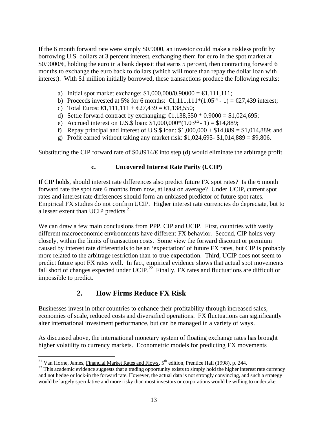If the 6 month forward rate were simply \$0.9000, an investor could make a riskless profit by borrowing U.S. dollars at 3 percent interest, exchanging them for euro in the spot market at \$0.9000/€, holding the euro in a bank deposit that earns 5 percent, then contracting forward 6 months to exchange the euro back to dollars (which will more than repay the dollar loan with interest). With \$1 million initially borrowed, these transactions produce the following results:

- a) Initial spot market exchange:  $$1,000,000/0.90000 = \text{\textsterling}1,111,111;$
- b) Proceeds invested at 5% for 6 months:  $\in$ 1,11,111\*(1.05<sup>12</sup> 1) =  $\in$ 27,439 interest;
- c) Total Euros:  $\bigoplus$ , 111, 111 +  $\bigoplus$ 7, 439 =  $\bigoplus$ , 138, 550;
- d) Settle forward contract by exchanging:  $\text{E}$ , 138,550  $*$  0.9000 = \$1,024,695;
- e) Accrued interest on U.S.\$ loan:  $$1,000,000*(1.03^{1/2} 1) = $14,889;$
- f) Repay principal and interest of U.S.\$ loan:  $$1,000,000 + $14,889 = $1,014,889$ ; and
- g) Profit earned without taking any market risk:  $$1,024,695 $1,014,889 = $9,806$ .

Substituting the CIP forward rate of  $$0.8914/\epsilon$  into step (d) would eliminate the arbitrage profit.

### **c. Uncovered Interest Rate Parity (UCIP)**

If CIP holds, should interest rate differences also predict future FX spot rates? Is the 6 month forward rate the spot rate 6 months from now, at least on average? Under UCIP, current spot rates and interest rate differences should form an unbiased predictor of future spot rates. Empirical FX studies do not confirm UCIP. Higher interest rate currencies do depreciate, but to a lesser extent than UCIP predicts.<sup>21</sup>

We can draw a few main conclusions from PPP, CIP and UCIP. First, countries with vastly different macroeconomic environments have different FX behavior. Second, CIP holds very closely, within the limits of transaction costs. Some view the forward discount or premium caused by interest rate differentials to be an 'expectation' of future FX rates, but CIP is probably more related to the arbitrage restriction than to true expectation. Third, UCIP does not seem to predict future spot FX rates well. In fact, empirical evidence shows that actual spot movements fall short of changes expected under UCIP.<sup>22</sup> Finally, FX rates and fluctuations are difficult or impossible to predict.

# **2. How Firms Reduce FX Risk**

Businesses invest in other countries to enhance their profitability through increased sales, economies of scale, reduced costs and diversified operations. FX fluctuations can significantly alter international investment performance, but can be managed in a variety of ways.

As discussed above, the international monetary system of floating exchange rates has brought higher volatility to currency markets. Econometric models for predicting FX movements

 $\overline{a}$ <sup>21</sup> Van Horne, James, Financial Market Rates and Flows,  $5<sup>th</sup>$  edition, Prentice Hall (1998), p. 244.

 $^{22}$  This academic evidence suggests that a trading opportunity exists to simply hold the higher interest rate currency and not hedge or lock-in the forward rate. However, the actual data is not strongly convincing, and such a strategy would be largely speculative and more risky than most investors or corporations would be willing to undertake.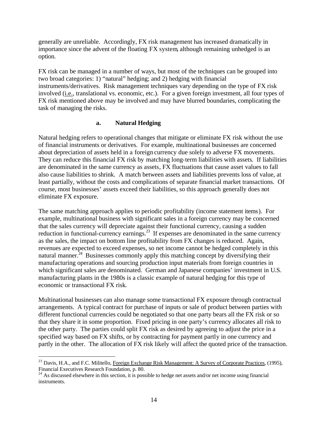generally are unreliable. Accordingly, FX risk management has increased dramatically in importance since the advent of the floating FX system, although remaining unhedged is an option.

FX risk can be managed in a number of ways, but most of the techniques can be grouped into two broad categories: 1) "natural" hedging; and 2) hedging with financial instruments/derivatives. Risk management techniques vary depending on the type of FX risk involved (i.e., translational vs. economic, etc.). For a given foreign investment, all four types of FX risk mentioned above may be involved and may have blurred boundaries, complicating the task of managing the risks.

### **a. Natural Hedging**

Natural hedging refers to operational changes that mitigate or eliminate FX risk without the use of financial instruments or derivatives. For example, multinational businesses are concerned about depreciation of assets held in a foreign currency due solely to adverse FX movements. They can reduce this financial FX risk by matching long-term liabilities with assets. If liabilities are denominated in the same currency as assets, FX fluctuations that cause asset values to fall also cause liabilities to shrink. A match between assets and liabilities prevents loss of value, at least partially, without the costs and complications of separate financial market transactions. Of course, most businesses' assets exceed their liabilities, so this approach generally does not eliminate FX exposure.

The same matching approach applies to periodic profitability (income statement items). For example, multinational business with significant sales in a foreign currency may be concerned that the sales currency will depreciate against their functional currency, causing a sudden reduction in functional-currency earnings.<sup>23</sup> If expenses are denominated in the same currency as the sales, the impact on bottom line profitability from FX changes is reduced. Again, revenues are expected to exceed expenses, so net income cannot be hedged completely in this natural manner.<sup>24</sup> Businesses commonly apply this matching concept by diversifying their manufacturing operations and sourcing production input materials from foreign countries in which significant sales are denominated. German and Japanese companies' investment in U.S. manufacturing plants in the 1980s is a classic example of natural hedging for this type of economic or transactional FX risk.

Multinational businesses can also manage some transactional FX exposure through contractual arrangements. A typical contract for purchase of inputs or sale of product between parties with different functional currencies could be negotiated so that one party bears all the FX risk or so that they share it in some proportion. Fixed pricing in one party's currency allocates all risk to the other party. The parties could split FX risk as desired by agreeing to adjust the price in a specified way based on FX shifts, or by contracting for payment partly in one currency and partly in the other. The allocation of FX risk likely will affect the quoted price of the transaction.

1

<sup>&</sup>lt;sup>23</sup> Davis, H.A., and F.C. Militello, Foreign Exchange Risk Management: A Survey of Corporate Practices, (1995), Financial Executives Research Foundation, p. 80.

 $^{24}$  As discussed elsewhere in this section, it is possible to hedge net assets and/or net income using financial instruments.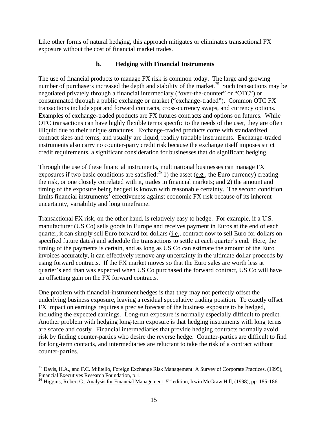Like other forms of natural hedging, this approach mitigates or eliminates transactional FX exposure without the cost of financial market trades.

### **b. Hedging with Financial Instruments**

The use of financial products to manage FX risk is common today. The large and growing number of purchasers increased the depth and stability of the market.<sup>25</sup> Such transactions may be negotiated privately through a financial intermediary ("over-the-counter" or "OTC") or consummated through a public exchange or market ("exchange-traded"). Common OTC FX transactions include spot and forward contracts, cross-currency swaps, and currency options. Examples of exchange-traded products are FX futures contracts and options on futures. While OTC transactions can have highly flexible terms specific to the needs of the user, they are often illiquid due to their unique structures. Exchange-traded products come with standardized contract sizes and terms, and usually are liquid, readily tradable instruments. Exchange-traded instruments also carry no counter-party credit risk because the exchange itself imposes strict credit requirements, a significant consideration for businesses that do significant hedging.

Through the use of these financial instruments, multinational businesses can manage FX exposures if two basic conditions are satisfied:  $^{26}$  1) the asset (e.g., the Euro currency) creating the risk, or one closely correlated with it, trades in financial markets; and 2) the amount and timing of the exposure being hedged is known with reasonable certainty. The second condition limits financial instruments' effectiveness against economic FX risk because of its inherent uncertainty, variability and long timeframe.

Transactional FX risk, on the other hand, is relatively easy to hedge. For example, if a U.S. manufacturer (US Co) sells goods in Europe and receives payment in Euros at the end of each quarter, it can simply sell Euro forward for dollars (i.e., contract now to sell Euro for dollars on specified future dates) and schedule the transactions to settle at each quarter's end. Here, the timing of the payments is certain, and as long as US Co can estimate the amount of the Euro invoices accurately, it can effectively remove any uncertainty in the ultimate dollar proceeds by using forward contracts. If the FX market moves so that the Euro sales are worth less at quarter's end than was expected when US Co purchased the forward contract, US Co will have an offsetting gain on the FX forward contracts.

One problem with financial-instrument hedges is that they may not perfectly offset the underlying business exposure, leaving a residual speculative trading position. To exactly offset FX impact on earnings requires a precise forecast of the business exposure to be hedged, including the expected earnings. Long-run exposure is normally especially difficult to predict. Another problem with hedging long-term exposure is that hedging instruments with long terms are scarce and costly. Financial intermediaries that provide hedging contracts normally avoid risk by finding counter-parties who desire the reverse hedge. Counter-parties are difficult to find for long-term contacts, and intermediaries are reluctant to take the risk of a contract without counter-parties.

1

<sup>&</sup>lt;sup>25</sup> Davis, H.A., and F.C. Militello, Foreign Exchange Risk Management: A Survey of Corporate Practices, (1995), Financial Executives Research Foundation, p.1.

<sup>&</sup>lt;sup>26</sup> Higgins, Robert C., Analysis for Financial Management,  $5<sup>th</sup>$  edition, Irwin McGraw Hill, (1998), pp. 185-186.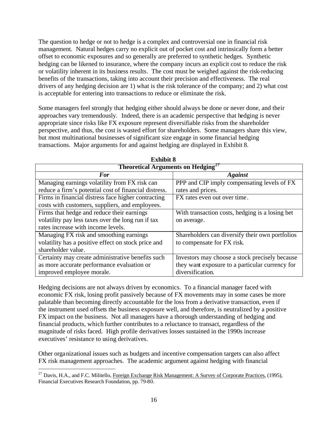The question to hedge or not to hedge is a complex and controversial one in financial risk management. Natural hedges carry no explicit out of pocket cost and intrinsically form a better offset to economic exposures and so generally are preferred to synthetic hedges. Synthetic hedging can be likened to insurance, where the company incurs an explicit cost to reduce the risk or volatility inherent in its business results. The cost must be weighed against the risk-reducing benefits of the transactions, taking into account their precision and effectiveness. The real drivers of any hedging decision are 1) what is the risk tolerance of the company; and 2) what cost is acceptable for entering into transactions to reduce or eliminate the risk.

Some managers feel strongly that hedging either should always be done or never done, and their approaches vary tremendously. Indeed, there is an academic perspective that hedging is never appropriate since risks like FX exposure represent diversifiable risks from the shareholder perspective, and thus, the cost is wasted effort for shareholders. Some managers share this view, but most multinational businesses of significant size engage in some financial hedging transactions. Major arguments for and against hedging are displayed in Exhibit 8.

| <b>Theoretical Arguments on Hedging</b> <sup>27</sup> |                                                 |  |  |
|-------------------------------------------------------|-------------------------------------------------|--|--|
| <b>For</b>                                            | <b>Against</b>                                  |  |  |
| Managing earnings volatility from FX risk can         | PPP and CIP imply compensating levels of FX     |  |  |
| reduce a firm's potential cost of financial distress. | rates and prices.                               |  |  |
| Firms in financial distress face higher contracting   | FX rates even out over time.                    |  |  |
| costs with customers, suppliers, and employees.       |                                                 |  |  |
| Firms that hedge and reduce their earnings            | With transaction costs, hedging is a losing bet |  |  |
| volatility pay less taxes over the long run if tax    | on average.                                     |  |  |
| rates increase with income levels.                    |                                                 |  |  |
| Managing FX risk and smoothing earnings               | Shareholders can diversify their own portfolios |  |  |
| volatility has a positive effect on stock price and   | to compensate for FX risk.                      |  |  |
| shareholder value.                                    |                                                 |  |  |
| Certainty may create administrative benefits such     | Investors may choose a stock precisely because  |  |  |
| as more accurate performance evaluation or            | they want exposure to a particular currency for |  |  |
| improved employee morale.                             | diversification.                                |  |  |

**Exhibit 8**

Hedging decisions are not always driven by economics. To a financial manager faced with economic FX risk, losing profit passively because of FX movements may in some cases be more palatable than becoming directly accountable for the loss from a derivative transaction, even if the instrument used offsets the business exposure well, and therefore, is neutralized by a positive FX impact on the business. Not all managers have a thorough understanding of hedging and financial products, which further contributes to a reluctance to transact, regardless of the magnitude of risks faced. High profile derivatives losses sustained in the 1990s increase executives' resistance to using derivatives.

Other organizational issues such as budgets and incentive compensation targets can also affect FX risk management approaches. The academic argument against hedging with financial

<sup>&</sup>lt;sup>27</sup> Davis, H.A., and F.C. Militello, Foreign Exchange Risk Management: A Survey of Corporate Practices, (1995), Financial Executives Research Foundation, pp. 79-80.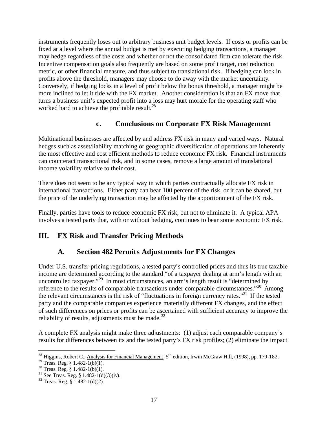instruments frequently loses out to arbitrary business unit budget levels. If costs or profits can be fixed at a level where the annual budget is met by executing hedging transactions, a manager may hedge regardless of the costs and whether or not the consolidated firm can tolerate the risk. Incentive compensation goals also frequently are based on some profit target, cost reduction metric, or other financial measure, and thus subject to translational risk. If hedging can lock in profits above the threshold, managers may choose to do away with the market uncertainty. Conversely, if hedging locks in a level of profit below the bonus threshold, a manager might be more inclined to let it ride with the FX market. Another consideration is that an FX move that turns a business unit's expected profit into a loss may hurt morale for the operating staff who worked hard to achieve the profitable result.<sup>28</sup>

### **c. Conclusions on Corporate FX Risk Management**

Multinational businesses are affected by and address FX risk in many and varied ways. Natural hedges such as asset/liability matching or geographic diversification of operations are inherently the most effective and cost efficient methods to reduce economic FX risk. Financial instruments can counteract transactional risk, and in some cases, remove a large amount of translational income volatility relative to their cost.

There does not seem to be any typical way in which parties contractually allocate FX risk in international transactions. Either party can bear 100 percent of the risk, or it can be shared, but the price of the underlying transaction may be affected by the apportionment of the FX risk.

Finally, parties have tools to reduce economic FX risk, but not to eliminate it. A typical APA involves a tested party that, with or without hedging, continues to bear some economic FX risk.

# **III. FX Risk and Transfer Pricing Methods**

# **A. Section 482 Permits Adjustments for FX Changes**

Under U.S. transfer-pricing regulations, a tested party's controlled prices and thus its true taxable income are determined according to the standard "of a taxpayer dealing at arm's length with an uncontrolled taxpayer."<sup>29</sup> In most circumstances, an arm's length result is "determined by reference to the results of comparable transactions under comparable circumstances."<sup>30</sup> Among the relevant circumstances is the risk of "fluctuations in foreign currency rates."<sup>31</sup> If the tested party and the comparable companies experience materially different FX changes, and the effect of such differences on prices or profits can be ascertained with sufficient accuracy to improve the reliability of results, adjustments must be made. $^{32}$ 

A complete FX analysis might make three adjustments: (1) adjust each comparable company's results for differences between its and the tested party's FX risk profiles; (2) eliminate the impact

 $\overline{a}$ <sup>28</sup> Higgins, Robert C., Analysis for Financial Management, 5<sup>th</sup> edition, Irwin McGraw Hill, (1998), pp. 179-182.

<sup>&</sup>lt;sup>29</sup> Treas. Reg. § 1.482-1(b)(1).

 $30$  Treas. Reg. § 1.482-1(b)(1).

 $31$  See Treas. Reg. § 1.482-1(d)(3)(iv).

 $32 \text{ Treas.}$  Reg. § 1.482-1(d)(2).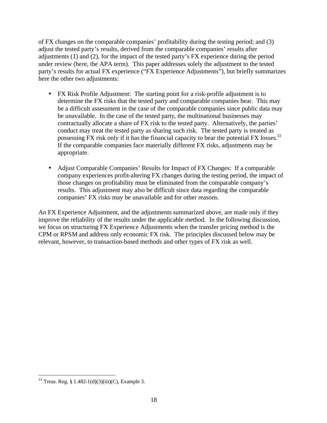of FX changes on the comparable companies' profitability during the testing period; and (3) adjust the tested party's results, derived from the comparable companies' results after adjustments (1) and (2), for the impact of the tested party's FX experience during the period under review (here, the APA term). This paper addresses solely the adjustment to the tested party's results for actual FX experience ("FX Experience Adjustments"), but briefly summarizes here the other two adjustments:

- FX Risk Profile Adjustment: The starting point for a risk-profile adjustment is to determine the FX risks that the tested party and comparable companies bear. This may be a difficult assessment in the case of the comparable companies since public data may be unavailable. In the case of the tested party, the multinational businesses may contractually allocate a share of FX risk to the tested party. Alternatively, the parties' conduct may treat the tested party as sharing such risk. The tested party is treated as possessing FX risk only if it has the financial capacity to bear the potential FX losses.<sup>33</sup> If the comparable companies face materially different FX risks, adjustments may be appropriate.
- Adjust Comparable Companies' Results for Impact of FX Changes: If a comparable company experiences profit-altering FX changes during the testing period, the impact of those changes on profitability must be eliminated from the comparable company's results. This adjustment may also be difficult since data regarding the comparable companies' FX risks may be unavailable and for other reasons.

An FX Experience Adjustment, and the adjustments summarized above, are made only if they improve the reliability of the results under the applicable method. In the following discussion, we focus on structuring FX Experience Adjustments when the transfer pricing method is the CPM or RPSM and address only economic FX risk. The principles discussed below may be relevant, however, to transaction-based methods and other types of FX risk as well.

 $33$  Treas. Reg. § 1.482-1(d)(3)(iii)(C), Example 3.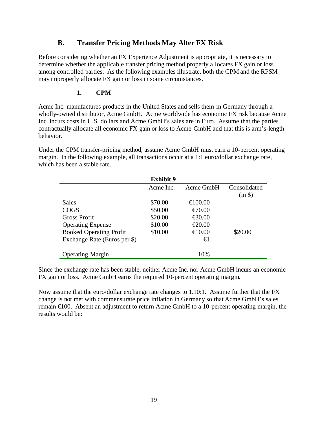### **B. Transfer Pricing Methods May Alter FX Risk**

Before considering whether an FX Experience Adjustment is appropriate, it is necessary to determine whether the applicable transfer pricing method properly allocates FX gain or loss among controlled parties. As the following examples illustrate, both the CPM and the RPSM may improperly allocate FX gain or loss in some circumstances.

### **1. CPM**

Acme Inc. manufactures products in the United States and sells them in Germany through a wholly-owned distributor, Acme GmbH. Acme worldwide has economic FX risk because Acme Inc. incurs costs in U.S. dollars and Acme GmbH's sales are in Euro. Assume that the parties contractually allocate all economic FX gain or loss to Acme GmbH and that this is arm's-length behavior.

Under the CPM transfer-pricing method, assume Acme GmbH must earn a 10-percent operating margin. In the following example, all transactions occur at a 1:1 euro/dollar exchange rate, which has been a stable rate.

|                                | <b>Exhibit 9</b> |                                               |              |
|--------------------------------|------------------|-----------------------------------------------|--------------|
|                                | Acme Inc.        | Acme GmbH                                     | Consolidated |
|                                |                  |                                               | (in \$)      |
| Sales                          | \$70.00          | $\bigoplus$ 00.00                             |              |
| <b>COGS</b>                    | \$50.00          | $\epsilon$ 70.00                              |              |
| Gross Profit                   | \$20.00          | $\textcolor{red}{\textbf{\textsterling}}0.00$ |              |
| <b>Operating Expense</b>       | \$10.00          | $\epsilon$ 20.00                              |              |
| <b>Booked Operating Profit</b> | \$10.00          | $\bigoplus$ 0.00                              | \$20.00      |
| Exchange Rate (Euros per \$)   |                  | €                                             |              |
|                                |                  |                                               |              |
| <b>Operating Margin</b>        |                  | 10%                                           |              |

Since the exchange rate has been stable, neither Acme Inc. nor Acme GmbH incurs an economic FX gain or loss. Acme GmbH earns the required 10-percent operating margin.

Now assume that the euro/dollar exchange rate changes to 1.10:1. Assume further that the FX change is not met with commensurate price inflation in Germany so that Acme GmbH's sales remain €100. Absent an adjustment to return Acme GmbH to a 10-percent operating margin, the results would be: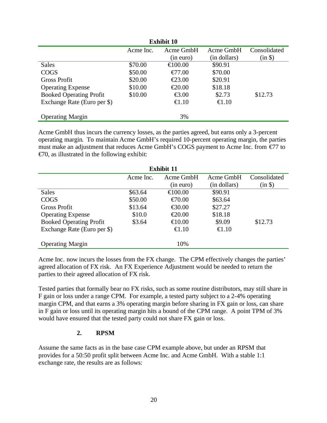| <b>Exhibit 10</b>              |           |                                               |                 |              |
|--------------------------------|-----------|-----------------------------------------------|-----------------|--------------|
|                                | Acme Inc. | Acme GmbH                                     | Acme GmbH       | Consolidated |
|                                |           | (in euro)                                     | (in dollars)    | $(in \$      |
| <b>Sales</b>                   | \$70.00   | $\bigoplus$ 00.00                             | \$90.91         |              |
| <b>COGS</b>                    | \$50.00   | $\bigoplus$ 7.00                              | \$70.00         |              |
| <b>Gross Profit</b>            | \$20.00   | $\textcolor{red}{\textbf{\textsterling}}3.00$ | \$20.91         |              |
| <b>Operating Expense</b>       | \$10.00   | $\textcolor{red}{\textbf{\textsterling}}0.00$ | \$18.18         |              |
| <b>Booked Operating Profit</b> | \$10.00   | $\textcolor{red}{\bigoplus} .00$              | \$2.73          | \$12.73      |
| Exchange Rate (Euro per \$)    |           | $\bigoplus .10$                               | $\bigoplus .10$ |              |
| <b>Operating Margin</b>        |           | 3%                                            |                 |              |

Acme GmbH thus incurs the currency losses, as the parties agreed, but earns only a 3-percent operating margin. To maintain Acme GmbH's required 10-percent operating margin, the parties must make an adjustment that reduces Acme GmbH's COGS payment to Acme Inc. from €77 to  $\epsilon$ 70, as illustrated in the following exhibit:

| <b>Exhibit 11</b>              |           |                                               |                 |              |
|--------------------------------|-----------|-----------------------------------------------|-----------------|--------------|
|                                | Acme Inc. | Acme GmbH                                     | Acme GmbH       | Consolidated |
|                                |           | (in euro)                                     | (in dollars)    | (in \$)      |
| <b>Sales</b>                   | \$63.64   | $\bigoplus$ 00.00                             | \$90.91         |              |
| <b>COGS</b>                    | \$50.00   | $\bigoplus$ 0.00                              | \$63.64         |              |
| <b>Gross Profit</b>            | \$13.64   | $\bigoplus$ 0.00                              | \$27.27         |              |
| <b>Operating Expense</b>       | \$10.0    | $\textcolor{red}{\textbf{\textsterling}}0.00$ | \$18.18         |              |
| <b>Booked Operating Profit</b> | \$3.64    | $\bigoplus$ 0.00                              | \$9.09          | \$12.73      |
| Exchange Rate (Euro per \$)    |           | $\bigoplus .10$                               | $\bigoplus .10$ |              |
| <b>Operating Margin</b>        |           | 10%                                           |                 |              |

Acme Inc. now incurs the losses from the FX change. The CPM effectively changes the parties' agreed allocation of FX risk. An FX Experience Adjustment would be needed to return the parties to their agreed allocation of FX risk.

Tested parties that formally bear no FX risks, such as some routine distributors, may still share in F gain or loss under a range CPM. For example, a tested party subject to a 2-4% operating margin CPM, and that earns a 3% operating margin before sharing in FX gain or loss, can share in F gain or loss until its operating margin hits a bound of the CPM range. A point TPM of 3% would have ensured that the tested party could not share FX gain or loss.

### **2. RPSM**

Assume the same facts as in the base case CPM example above, but under an RPSM that provides for a 50:50 profit split between Acme Inc. and Acme GmbH. With a stable 1:1 exchange rate, the results are as follows: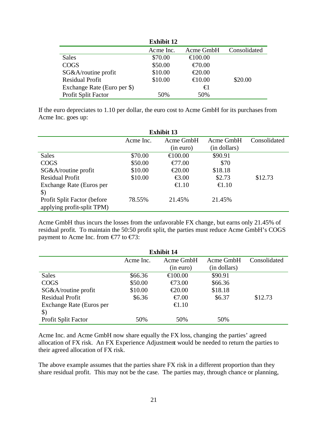|                             | <b>Exhibit 12</b> |                   |              |
|-----------------------------|-------------------|-------------------|--------------|
|                             | Acme Inc.         | Acme GmbH         | Consolidated |
| Sales                       | \$70.00           | $\bigoplus$ 00.00 |              |
| <b>COGS</b>                 | \$50.00           | $\epsilon$ 70.00  |              |
| SG&A/routine profit         | \$10.00           | $\epsilon$ 20.00  |              |
| <b>Residual Profit</b>      | \$10.00           | $\bigoplus$ 0.00  | \$20.00      |
| Exchange Rate (Euro per \$) |                   | €l                |              |
| Profit Split Factor         | 50%               | 50%               |              |

If the euro depreciates to 1.10 per dollar, the euro cost to Acme GmbH for its purchases from Acme Inc. goes up:

| <b>Exhibit 13</b>            |           |                                               |                 |              |
|------------------------------|-----------|-----------------------------------------------|-----------------|--------------|
|                              | Acme Inc. | Acme GmbH                                     | Acme GmbH       | Consolidated |
|                              |           | (in euro)                                     | (in dollars)    |              |
| <b>Sales</b>                 | \$70.00   | $\bigoplus$ 00.00                             | \$90.91         |              |
| <b>COGS</b>                  | \$50.00   | $\text{\textsterling}7.00$                    | \$70            |              |
| SG&A/routine profit          | \$10.00   | $\textcolor{red}{\textbf{\textsterling}}0.00$ | \$18.18         |              |
| <b>Residual Profit</b>       | \$10.00   | $\textcolor{red}{\textbf{\textsterling}}.00$  | \$2.73          | \$12.73      |
| Exchange Rate (Euros per     |           | $\bigoplus .10$                               | $\bigoplus .10$ |              |
| $\boldsymbol{\mathsf{S}}$    |           |                                               |                 |              |
| Profit Split Factor (before) | 78.55%    | 21.45%                                        | 21.45%          |              |
| applying profit-split TPM)   |           |                                               |                 |              |

Acme GmbH thus incurs the losses from the unfavorable FX change, but earns only 21.45% of residual profit. To maintain the 50:50 profit split, the parties must reduce Acme GmbH's COGS payment to Acme Inc. from  $\epsilon$ 77 to  $\epsilon$ 73:

| <b>Exhibit 14</b>        |                        |                   |              |              |
|--------------------------|------------------------|-------------------|--------------|--------------|
|                          | Acme GmbH<br>Acme Inc. |                   | Acme GmbH    | Consolidated |
|                          |                        | (in euro)         | (in dollars) |              |
| <b>Sales</b>             | \$66.36                | $\bigoplus$ 00.00 | \$90.91      |              |
| <b>COGS</b>              | \$50.00                | $\bigoplus$ 3.00  | \$66.36      |              |
| SG&A/routine profit      | \$10.00                | $\epsilon$ 20.00  | \$18.18      |              |
| <b>Residual Profit</b>   | \$6.36                 | $\epsilon 7.00$   | \$6.37       | \$12.73      |
| Exchange Rate (Euros per |                        | $\bigoplus .10$   |              |              |
| $\mathcal{S}$            |                        |                   |              |              |
| Profit Split Factor      | 50%                    | 50%               | 50%          |              |

Acme Inc. and Acme GmbH now share equally the FX loss, changing the parties' agreed allocation of FX risk. An FX Experience Adjustment would be needed to return the parties to their agreed allocation of FX risk.

The above example assumes that the parties share FX risk in a different proportion than they share residual profit. This may not be the case. The parties may, through chance or planning,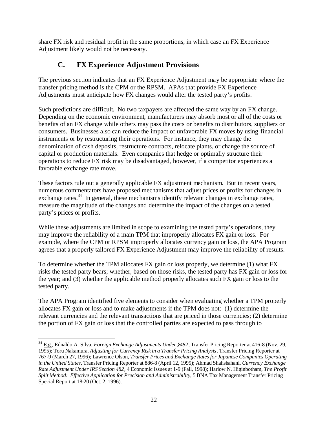share FX risk and residual profit in the same proportions, in which case an FX Experience Adjustment likely would not be necessary.

# **C. FX Experience Adjustment Provisions**

The previous section indicates that an FX Experience Adjustment may be appropriate where the transfer pricing method is the CPM or the RPSM. APAs that provide FX Experience Adjustments must anticipate how FX changes would alter the tested party's profits.

Such predictions are difficult. No two taxpayers are affected the same way by an FX change. Depending on the economic environment, manufacturers may absorb most or all of the costs or benefits of an FX change while others may pass the costs or benefits to distributors, suppliers or consumers. Businesses also can reduce the impact of unfavorable FX moves by using financial instruments or by restructuring their operations. For instance, they may change the denomination of cash deposits, restructure contracts, relocate plants, or change the source of capital or production materials. Even companies that hedge or optimally structure their operations to reduce FX risk may be disadvantaged, however, if a competitor experiences a favorable exchange rate move.

These factors rule out a generally applicable FX adjustment mechanism. But in recent years, numerous commentators have proposed mechanisms that adjust prices or profits for changes in exchange rates. $34$  In general, these mechanisms identify relevant changes in exchange rates, measure the magnitude of the changes and determine the impact of the changes on a tested party's prices or profits.

While these adjustments are limited in scope to examining the tested party's operations, they may improve the reliability of a main TPM that improperly allocates FX gain or loss. For example, where the CPM or RPSM improperly allocates currency gain or loss, the APA Program agrees that a properly tailored FX Experience Adjustment may improve the reliability of results.

To determine whether the TPM allocates FX gain or loss properly, we determine (1) what FX risks the tested party bears; whether, based on those risks, the tested party has FX gain or loss for the year; and (3) whether the applicable method properly allocates such FX gain or loss to the tested party.

The APA Program identified five elements to consider when evaluating whether a TPM properly allocates FX gain or loss and to make adjustments if the TPM does not: (1) determine the relevant currencies and the relevant transactions that are priced in those currencies; (2) determine the portion of FX gain or loss that the controlled parties are expected to pass through to

<sup>1</sup> <sup>34</sup> E.g., Ednaldo A. Silva, *Foreign Exchange Adjustments Under §482*, Transfer Pricing Reporter at 416-8 (Nov. 29, 1995); Toru Nakamura, *Adjusting for Currency Risk in a Transfer Pricing Analysis*, Transfer Pricing Reporter at 767-9 (March 27, 1996); Lawrence Olson, *Transfer Prices and Exchange Rates for Japanese Companies Operating in the United States*, Transfer Pricing Reporter at 886-8 (April 12, 1995); Ahmad Shahshahani, *Currency Exchange Rate Adjustment Under IRS Section 482*, 4 Economic Issues at 1-9 (Fall, 1998); Harlow N. Higinbotham, *The Profit Split Method: Effective Application for Precision and Administrability*, 5 BNA Tax Management Transfer Pricing Special Report at 18-20 (Oct. 2, 1996).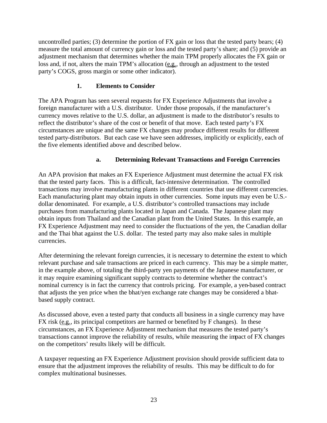uncontrolled parties; (3) determine the portion of FX gain or loss that the tested party bears; (4) measure the total amount of currency gain or loss and the tested party's share; and (5) provide an adjustment mechanism that determines whether the main TPM properly allocates the FX gain or loss and, if not, alters the main TPM's allocation (e.g., through an adjustment to the tested party's COGS, gross margin or some other indicator).

### **1. Elements to Consider**

The APA Program has seen several requests for FX Experience Adjustments that involve a foreign manufacturer with a U.S. distributor. Under those proposals, if the manufacturer's currency moves relative to the U.S. dollar, an adjustment is made to the distributor's results to reflect the distributor's share of the cost or benefit of that move. Each tested party's FX circumstances are unique and the same FX changes may produce different results for different tested party-distributors. But each case we have seen addresses, implicitly or explicitly, each of the five elements identified above and described below.

### **a. Determining Relevant Transactions and Foreign Currencies**

An APA provision that makes an FX Experience Adjustment must determine the actual FX risk that the tested party faces. This is a difficult, fact-intensive determination. The controlled transactions may involve manufacturing plants in different countries that use different currencies. Each manufacturing plant may obtain inputs in other currencies. Some inputs may even be U.S. dollar denominated. For example, a U.S. distributor's controlled transactions may include purchases from manufacturing plants located in Japan and Canada. The Japanese plant may obtain inputs from Thailand and the Canadian plant from the United States. In this example, an FX Experience Adjustment may need to consider the fluctuations of the yen, the Canadian dollar and the Thai bhat against the U.S. dollar. The tested party may also make sales in multiple currencies.

After determining the relevant foreign currencies, it is necessary to determine the extent to which relevant purchase and sale transactions are priced in each currency. This may be a simple matter, in the example above, of totaling the third-party yen payments of the Japanese manufacturer, or it may require examining significant supply contracts to determine whether the contract's nominal currency is in fact the currency that controls pricing. For example, a yen-based contract that adjusts the yen price when the bhat/yen exchange rate changes may be considered a bhatbased supply contract.

As discussed above, even a tested party that conducts all business in a single currency may have FX risk (e.g., its principal competitors are harmed or benefited by F changes). In these circumstances, an FX Experience Adjustment mechanism that measures the tested party's transactions cannot improve the reliability of results, while measuring the impact of FX changes on the competitors' results likely will be difficult.

A taxpayer requesting an FX Experience Adjustment provision should provide sufficient data to ensure that the adjustment improves the reliability of results. This may be difficult to do for complex multinational businesses.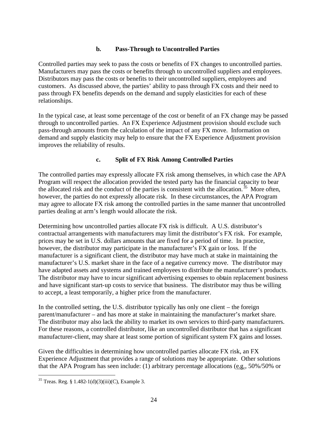### **b. Pass-Through to Uncontrolled Parties**

Controlled parties may seek to pass the costs or benefits of FX changes to uncontrolled parties. Manufacturers may pass the costs or benefits through to uncontrolled suppliers and employees. Distributors may pass the costs or benefits to their uncontrolled suppliers, employees and customers. As discussed above, the parties' ability to pass through FX costs and their need to pass through FX benefits depends on the demand and supply elasticities for each of these relationships.

In the typical case, at least some percentage of the cost or benefit of an FX change may be passed through to uncontrolled parties. An FX Experience Adjustment provision should exclude such pass-through amounts from the calculation of the impact of any FX move. Information on demand and supply elasticity may help to ensure that the FX Experience Adjustment provision improves the reliability of results.

### **c. Split of FX Risk Among Controlled Parties**

The controlled parties may expressly allocate FX risk among themselves, in which case the APA Program will respect the allocation provided the tested party has the financial capacity to bear the allocated risk and the conduct of the parties is consistent with the allocation.  $35$  More often, however, the parties do not expressly allocate risk. In these circumstances, the APA Program may agree to allocate FX risk among the controlled parties in the same manner that uncontrolled parties dealing at arm's length would allocate the risk.

Determining how uncontrolled parties allocate FX risk is difficult. A U.S. distributor's contractual arrangements with manufacturers may limit the distributor's FX risk. For example, prices may be set in U.S. dollars amounts that are fixed for a period of time. In practice, however, the distributor may participate in the manufacturer's FX gain or loss. If the manufacturer is a significant client, the distributor may have much at stake in maintaining the manufacturer's U.S. market share in the face of a negative currency move. The distributor may have adapted assets and systems and trained employees to distribute the manufacturer's products. The distributor may have to incur significant advertising expenses to obtain replacement business and have significant start-up costs to service that business. The distributor may thus be willing to accept, a least temporarily, a higher price from the manufacturer.

In the controlled setting, the U.S. distributor typically has only one client – the foreign parent/manufacturer – and has more at stake in maintaining the manufacturer's market share. The distributor may also lack the ability to market its own services to third-party manufacturers. For these reasons, a controlled distributor, like an uncontrolled distributor that has a significant manufacturer-client, may share at least some portion of significant system FX gains and losses.

Given the difficulties in determining how uncontrolled parties allocate FX risk, an FX Experience Adjustment that provides a range of solutions may be appropriate. Other solutions that the APA Program has seen include: (1) arbitrary percentage allocations (e.g., 50%/50% or

<sup>&</sup>lt;sup>35</sup> Treas. Reg. § 1.482-1(d)(3)(iii)(C), Example 3.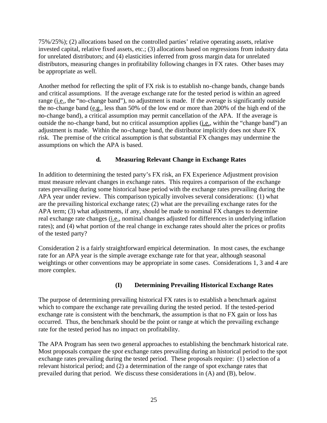75%/25%); (2) allocations based on the controlled parties' relative operating assets, relative invested capital, relative fixed assets, etc.; (3) allocations based on regressions from industry data for unrelated distributors; and (4) elasticities inferred from gross margin data for unrelated distributors, measuring changes in profitability following changes in FX rates. Other bases may be appropriate as well.

Another method for reflecting the split of FX risk is to establish no-change bands, change bands and critical assumptions. If the average exchange rate for the tested period is within an agreed range (i.e., the "no-change band"), no adjustment is made. If the average is significantly outside the no-change band (e.g., less than 50% of the low end or more than 200% of the high end of the no-change band), a critical assumption may permit cancellation of the APA. If the average is outside the no-change band, but no critical assumption applies (*i.e.*, within the "change band") an adjustment is made. Within the no-change band, the distributor implicitly does not share FX risk. The premise of the critical assumption is that substantial FX changes may undermine the assumptions on which the APA is based.

### **d. Measuring Relevant Change in Exchange Rates**

In addition to determining the tested party's FX risk, an FX Experience Adjustment provision must measure relevant changes in exchange rates. This requires a comparison of the exchange rates prevailing during some historical base period with the exchange rates prevailing during the APA year under review. This comparison typically involves several considerations: (1) what are the prevailing historical exchange rates; (2) what are the prevailing exchange rates for the APA term; (3) what adjustments, if any, should be made to nominal FX changes to determine real exchange rate changes (*i.e.*, nominal changes adjusted for differences in underlying inflation rates); and (4) what portion of the real change in exchange rates should alter the prices or profits of the tested party?

Consideration 2 is a fairly straightforward empirical determination. In most cases, the exchange rate for an APA year is the simple average exchange rate for that year, although seasonal weightings or other conventions may be appropriate in some cases. Considerations 1, 3 and 4 are more complex.

### **(I) Determining Prevailing Historical Exchange Rates**

The purpose of determining prevailing historical FX rates is to establish a benchmark against which to compare the exchange rate prevailing during the tested period. If the tested-period exchange rate is consistent with the benchmark, the assumption is that no FX gain or loss has occurred. Thus, the benchmark should be the point or range at which the prevailing exchange rate for the tested period has no impact on profitability.

The APA Program has seen two general approaches to establishing the benchmark historical rate. Most proposals compare the *spot* exchange rates prevailing during an historical period to the spot exchange rates prevailing during the tested period. These proposals require: (1) selection of a relevant historical period; and (2) a determination of the range of spot exchange rates that prevailed during that period. We discuss these considerations in (A) and (B), below.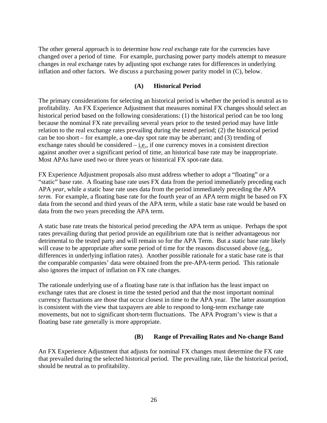The other general approach is to determine how *real* exchange rate for the currencies have changed over a period of time. For example, purchasing power party models attempt to measure changes in real exchange rates by adjusting spot exchange rates for differences in underlying inflation and other factors. We discuss a purchasing power parity model in (C), below.

### **(A) Historical Period**

The primary considerations for selecting an historical period is whether the period is neutral as to profitability. An FX Experience Adjustment that measures nominal FX changes should select an historical period based on the following considerations: (1) the historical period can be too long because the nominal FX rate prevailing several years prior to the tested period may have little relation to the real exchange rates prevailing during the tested period; (2) the historical period can be too short – for example, a one-day spot rate may be aberrant; and (3) trending of exchange rates should be considered – i.e., if one currency moves in a consistent direction against another over a significant period of time, an historical base rate may be inappropriate. Most APAs have used two or three years or historical FX spot-rate data.

FX Experience Adjustment proposals also must address whether to adopt a "floating" or a "static" base rate. A floating base rate uses FX data from the period immediately preceding each APA *year*, while a static base rate uses data from the period immediately preceding the APA *term*. For example, a floating base rate for the fourth year of an APA term might be based on FX data from the second and third years of the APA term, while a static base rate would be based on data from the two years preceding the APA term.

A static base rate treats the historical period preceding the APA term as unique. Perhaps the spot rates prevailing during that period provide an equilibrium rate that is neither advantageous nor detrimental to the tested party and will remain so for the APA Term. But a static base rate likely will cease to be appropriate after some period of time for the reasons discussed above (e.g., differences in underlying inflation rates). Another possible rationale for a static base rate is that the comparable companies' data were obtained from the pre-APA-term period. This rationale also ignores the impact of inflation on FX rate changes.

The rationale underlying use of a floating base rate is that inflation has the least impact on exchange rates that are closest in time the tested period and that the most important nominal currency fluctuations are those that occur closest in time to the APA year. The latter assumption is consistent with the view that taxpayers are able to respond to long-term exchange rate movements, but not to significant short-term fluctuations. The APA Program's view is that a floating base rate generally is more appropriate.

### **(B) Range of Prevailing Rates and No-change Band**

An FX Experience Adjustment that adjusts for nominal FX changes must determine the FX rate that prevailed during the selected historical period. The prevailing rate, like the historical period, should be neutral as to profitability.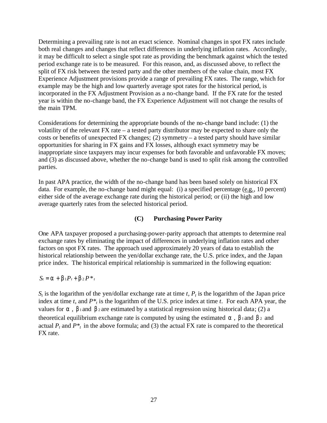Determining a prevailing rate is not an exact science. Nominal changes in spot FX rates include both real changes and changes that reflect differences in underlying inflation rates. Accordingly, it may be difficult to select a single spot rate as providing the benchmark against which the tested period exchange rate is to be measured. For this reason, and, as discussed above, to reflect the split of FX risk between the tested party and the other members of the value chain, most FX Experience Adjustment provisions provide a range of prevailing FX rates. The range, which for example may be the high and low quarterly average spot rates for the historical period, is incorporated in the FX Adjustment Provision as a no-change band. If the FX rate for the tested year is within the no-change band, the FX Experience Adjustment will not change the results of the main TPM.

Considerations for determining the appropriate bounds of the no-change band include: (1) the volatility of the relevant FX rate – a tested party distributor may be expected to share only the costs or benefits of unexpected FX changes; (2) symmetry – a tested party should have similar opportunities for sharing in FX gains and FX losses, although exact symmetry may be inappropriate since taxpayers may incur expenses for both favorable and unfavorable FX moves; and (3) as discussed above, whether the no-change band is used to split risk among the controlled parties.

In past APA practice, the width of the no-change band has been based solely on historical FX data. For example, the no-change band might equal: (i) a specified percentage (e.g., 10 percent) either side of the average exchange rate during the historical period; or (ii) the high and low average quarterly rates from the selected historical period.

### **(C) Purchasing Power Parity**

One APA taxpayer proposed a purchasing-power-parity approach that attempts to determine real exchange rates by eliminating the impact of differences in underlying inflation rates and other factors on spot FX rates. The approach used approximately 20 years of data to establish the historical relationship between the yen/dollar exchange rate, the U.S. price index, and the Japan price index. The historical empirical relationship is summarized in the following equation:

### $S_t = a + b_1 P_t + b_2 P_t^*$

 $S_t$  is the logarithm of the yen/dollar exchange rate at time *t*,  $P_t$  is the logarithm of the Japan price index at time  $t$ , and  $P^*$ <sub>t</sub> is the logarithm of the U.S. price index at time  $t$ . For each APA year, the values for  $a$ ,  $b_1$  and  $b_2$  are estimated by a statistical regression using historical data; (2) a theoretical equilibrium exchange rate is computed by using the estimated  $\bf{a}$ ,  $\bf{b}$  and  $\bf{b}$  2 and actual  $P_t$  and  $P^*$ <sub>t</sub> in the above formula; and (3) the actual FX rate is compared to the theoretical FX rate.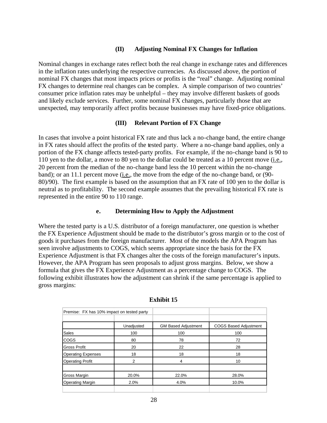### **(II) Adjusting Nominal FX Changes for Inflation**

Nominal changes in exchange rates reflect both the real change in exchange rates and differences in the inflation rates underlying the respective currencies. As discussed above, the portion of nominal FX changes that most impacts prices or profits is the "real" change. Adjusting nominal FX changes to determine real changes can be complex. A simple comparison of two countries' consumer price inflation rates may be unhelpful – they may involve different baskets of goods and likely exclude services. Further, some nominal FX changes, particularly those that are unexpected, may temporarily affect profits because businesses may have fixed-price obligations.

#### **(III) Relevant Portion of FX Change**

In cases that involve a point historical FX rate and thus lack a no-change band, the entire change in FX rates should affect the profits of the tested party. Where a no-change band applies, only a portion of the FX change affects tested-party profits. For example, if the no-change band is 90 to 110 yen to the dollar, a move to 80 yen to the dollar could be treated as a 10 percent move (i.e., 20 percent from the median of the no-change band less the 10 percent within the no-change band); or an 11.1 percent move (i.e., the move from the edge of the no-change band, or (90- 80)/90). The first example is based on the assumption that an FX rate of 100 yen to the dollar is neutral as to profitability. The second example assumes that the prevailing historical FX rate is represented in the entire 90 to 110 range.

#### **e. Determining How to Apply the Adjustment**

Where the tested party is a U.S. distributor of a foreign manufacturer, one question is whether the FX Experience Adjustment should be made to the distributor's gross margin or to the cost of goods it purchases from the foreign manufacturer. Most of the models the APA Program has seen involve adjustments to COGS, which seems appropriate since the basis for the FX Experience Adjustment is that FX changes alter the costs of the foreign manufacturer's inputs. However, the APA Program has seen proposals to adjust gross margins. Below, we show a formula that gives the FX Experience Adjustment as a percentage change to COGS. The following exhibit illustrates how the adjustment can shrink if the same percentage is applied to gross margins:

| Premise: FX has 10% impact on tested party |                |                            |                              |
|--------------------------------------------|----------------|----------------------------|------------------------------|
|                                            |                |                            |                              |
|                                            | Unadjusted     | <b>GM Based Adjustment</b> | <b>COGS Based Adjustment</b> |
| Sales                                      | 100            | 100                        | 100                          |
| COGS                                       | 80             | 78                         | 72                           |
| Gross Profit                               | 20             | 22                         | 28                           |
| <b>Operating Expenses</b>                  | 18             | 18                         | 18                           |
| <b>Operating Profit</b>                    | $\overline{2}$ | 4                          | 10                           |
| Gross Margin                               | 20.0%          | 22.0%                      | 28.0%                        |
| <b>Operating Margin</b>                    | 2.0%           | 4.0%                       | 10.0%                        |
|                                            |                |                            |                              |

#### **Exhibit 15**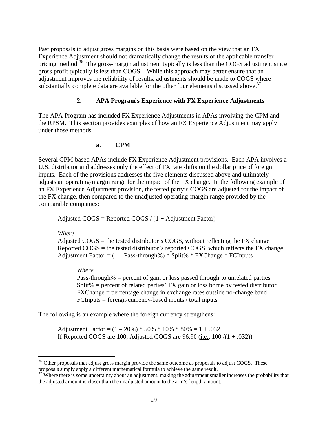Past proposals to adjust gross margins on this basis were based on the view that an FX Experience Adjustment should not dramatically change the results of the applicable transfer pricing method.<sup>36</sup> The gross-margin adjustment typically is less than the COGS adjustment since gross profit typically is less than COGS. While this approach may better ensure that an adjustment improves the reliability of results, adjustments should be made to COGS where substantially complete data are available for the other four elements discussed above.  $37$ 

### **2. APA Program's Experience with FX Experience Adjustments**

The APA Program has included FX Experience Adjustments in APAs involving the CPM and the RPSM. This section provides examples of how an FX Experience Adjustment may apply under those methods.

**a. CPM**

Several CPM-based APAs include FX Experience Adjustment provisions. Each APA involves a U.S. distributor and addresses only the effect of FX rate shifts on the dollar price of foreign inputs. Each of the provisions addresses the five elements discussed above and ultimately adjusts an operating-margin range for the impact of the FX change. In the following example of an FX Experience Adjustment provision, the tested party's COGS are adjusted for the impact of the FX change, then compared to the unadjusted operating-margin range provided by the comparable companies:

Adjusted  $COGS =$  Reported  $COGS / (1 +$  Adjustment Factor)

*Where*

 $\overline{a}$ 

Adjusted  $COGS$  = the tested distributor's COGS, without reflecting the FX change Reported  $\overline{C}$  COGS = the tested distributor's reported  $\overline{C}$ OGS, which reflects the FX change Adjustment Factor =  $(1 - Pass-through\%) * Split\% * FXChange * FCInputStream$ 

*Where*

Pass-through% = percent of gain or loss passed through to unrelated parties Split% = percent of related parties' FX gain or loss borne by tested distributor FXChange = percentage change in exchange rates outside no-change band FCInputs = foreign-currency-based inputs / total inputs

The following is an example where the foreign currency strengthens:

Adjustment Factor =  $(1 - 20\%)$  \* 50% \* 10% \* 80% = 1 + .032 If Reported COGS are 100, Adjusted COGS are  $96.90$  (i.e.,  $100/(1+.032)$ )

 $36$  Other proposals that adjust gross margin provide the same outcome as proposals to adjust COGS. These proposals simply apply a different mathematical formula to achieve the same result.

 $37$  Where there is some uncertainty about an adjustment, making the adjustment smaller increases the probability that the adjusted amount is closer than the unadjusted amount to the arm's-length amount.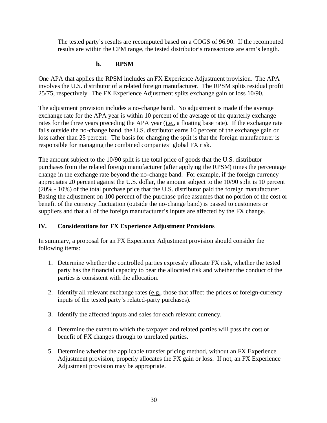The tested party's results are recomputed based on a COGS of 96.90. If the recomputed results are within the CPM range, the tested distributor's transactions are arm's length.

### **b. RPSM**

One APA that applies the RPSM includes an FX Experience Adjustment provision. The APA involves the U.S. distributor of a related foreign manufacturer. The RPSM splits residual profit 25/75, respectively. The FX Experience Adjustment splits exchange gain or loss 10/90.

The adjustment provision includes a no-change band. No adjustment is made if the average exchange rate for the APA year is within 10 percent of the average of the quarterly exchange rates for the three years preceding the APA year (*i.e.*, a floating base rate). If the exchange rate falls outside the no-change band, the U.S. distributor earns 10 percent of the exchange gain or loss rather than 25 percent. The basis for changing the split is that the foreign manufacturer is responsible for managing the combined companies' global FX risk.

The amount subject to the 10/90 split is the total price of goods that the U.S. distributor purchases from the related foreign manufacturer (after applying the RPSM) times the percentage change in the exchange rate beyond the no-change band. For example, if the foreign currency appreciates 20 percent against the U.S. dollar, the amount subject to the 10/90 split is 10 percent (20% - 10%) of the total purchase price that the U.S. distributor paid the foreign manufacturer. Basing the adjustment on 100 percent of the purchase price assumes that no portion of the cost or benefit of the currency fluctuation (outside the no-change band) is passed to customers or suppliers and that all of the foreign manufacturer's inputs are affected by the FX change.

### **IV. Considerations for FX Experience Adjustment Provisions**

In summary, a proposal for an FX Experience Adjustment provision should consider the following items:

- 1. Determine whether the controlled parties expressly allocate FX risk, whether the tested party has the financial capacity to bear the allocated risk and whether the conduct of the parties is consistent with the allocation.
- 2. Identify all relevant exchange rates  $(e.g.,)$  those that affect the prices of foreign-currency inputs of the tested party's related-party purchases).
- 3. Identify the affected inputs and sales for each relevant currency.
- 4. Determine the extent to which the taxpayer and related parties will pass the cost or benefit of FX changes through to unrelated parties.
- 5. Determine whether the applicable transfer pricing method, without an FX Experience Adjustment provision, properly allocates the FX gain or loss. If not, an FX Experience Adjustment provision may be appropriate.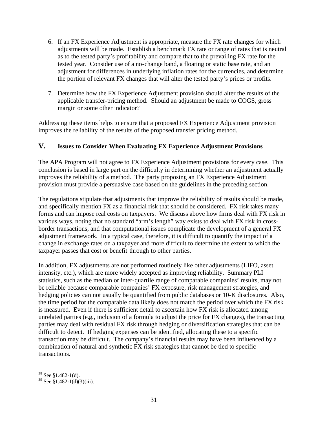- 6. If an FX Experience Adjustment is appropriate, measure the FX rate changes for which adjustments will be made. Establish a benchmark FX rate or range of rates that is neutral as to the tested party's profitability and compare that to the prevailing FX rate for the tested year. Consider use of a no-change band, a floating or static base rate, and an adjustment for differences in underlying inflation rates for the currencies, and determine the portion of relevant FX changes that will alter the tested party's prices or profits.
- 7. Determine how the FX Experience Adjustment provision should alter the results of the applicable transfer-pricing method. Should an adjustment be made to COGS, gross margin or some other indicator?

Addressing these items helps to ensure that a proposed FX Experience Adjustment provision improves the reliability of the results of the proposed transfer pricing method.

### **V. Issues to Consider When Evaluating FX Experience Adjustment Provisions**

The APA Program will not agree to FX Experience Adjustment provisions for every case. This conclusion is based in large part on the difficulty in determining whether an adjustment actually improves the reliability of a method. The party proposing an FX Experience Adjustment provision must provide a persuasive case based on the guidelines in the preceding section.

The regulations stipulate that adjustments that improve the reliability of results should be made, and specifically mention FX as a financial risk that should be considered. FX risk takes many forms and can impose real costs on taxpayers. We discuss above how firms deal with FX risk in various ways, noting that no standard "arm's length" way exists to deal with FX risk in crossborder transactions, and that computational issues complicate the development of a general FX adjustment framework. In a typical case, therefore, it is difficult to quantify the impact of a change in exchange rates on a taxpayer and more difficult to determine the extent to which the taxpayer passes that cost or benefit through to other parties.

In addition, FX adjustments are not performed routinely like other adjustments (LIFO, asset intensity, etc.), which are more widely accepted as improving reliability. Summary PLI statistics, such as the median or inter-quartile range of comparable companies' results, may not be reliable because comparable companies' FX exposure, risk management strategies, and hedging policies can not usually be quantified from public databases or 10-K disclosures. Also, the time period for the comparable data likely does not match the period over which the FX risk is measured. Even if there is sufficient detail to ascertain how FX risk is allocated among unrelated parties (e.g., inclusion of a formula to adjust the price for FX changes), the transacting parties may deal with residual FX risk through hedging or diversification strategies that can be difficult to detect. If hedging expenses can be identified, allocating these to a specific transaction may be difficult. The company's financial results may have been influenced by a combination of natural and synthetic FX risk strategies that cannot be tied to specific transactions.

 $38$  See §1.482-1(d).

 $39$  See §1.482-1(d)(3)(iii).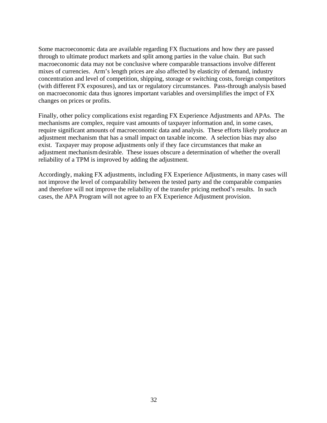Some macroeconomic data are available regarding FX fluctuations and how they are passed through to ultimate product markets and split among parties in the value chain. But such macroeconomic data may not be conclusive where comparable transactions involve different mixes of currencies. Arm's length prices are also affected by elasticity of demand, industry concentration and level of competition, shipping, storage or switching costs, foreign competitors (with different FX exposures), and tax or regulatory circumstances. Pass-through analysis based on macroeconomic data thus ignores important variables and oversimplifies the impct of FX changes on prices or profits.

Finally, other policy complications exist regarding FX Experience Adjustments and APAs. The mechanisms are complex, require vast amounts of taxpayer information and, in some cases, require significant amounts of macroeconomic data and analysis. These efforts likely produce an adjustment mechanism that has a small impact on taxable income. A selection bias may also exist. Taxpayer may propose adjustments only if they face circumstances that make an adjustment mechanism desirable. These issues obscure a determination of whether the overall reliability of a TPM is improved by adding the adjustment.

Accordingly, making FX adjustments, including FX Experience Adjustments, in many cases will not improve the level of comparability between the tested party and the comparable companies and therefore will not improve the reliability of the transfer pricing method's results. In such cases, the APA Program will not agree to an FX Experience Adjustment provision.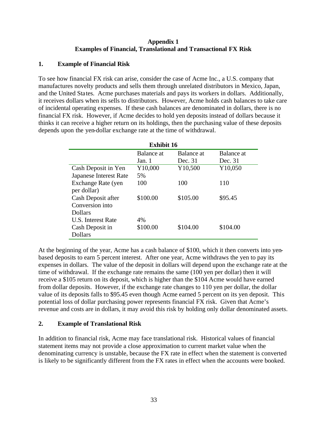### **Appendix 1 Examples of Financial, Translational and Transactional FX Risk**

### **1. Example of Financial Risk**

To see how financial FX risk can arise, consider the case of Acme Inc., a U.S. company that manufactures novelty products and sells them through unrelated distributors in Mexico, Japan, and the United States. Acme purchases materials and pays its workers in dollars. Additionally, it receives dollars when its sells to distributors. However, Acme holds cash balances to take care of incidental operating expenses. If these cash balances are denominated in dollars, there is no financial FX risk. However, if Acme decides to hold yen deposits instead of dollars because it thinks it can receive a higher return on its holdings, then the purchasing value of these deposits depends upon the yen-dollar exchange rate at the time of withdrawal.

| <b>Exhibit 16</b>         |            |            |            |  |
|---------------------------|------------|------------|------------|--|
|                           | Balance at | Balance at | Balance at |  |
|                           | Jan. 1     | Dec. 31    | Dec. 31    |  |
| Cash Deposit in Yen       | Y10,000    | Y10,500    | Y10,050    |  |
| Japanese Interest Rate    | 5%         |            |            |  |
| Exchange Rate (yen        | 100        | 100        | 110        |  |
| per dollar)               |            |            |            |  |
| Cash Deposit after        | \$100.00   | \$105.00   | \$95.45    |  |
| Conversion into           |            |            |            |  |
| Dollars                   |            |            |            |  |
| <b>U.S.</b> Interest Rate | 4%         |            |            |  |
| Cash Deposit in           | \$100.00   | \$104.00   | \$104.00   |  |
| <b>Dollars</b>            |            |            |            |  |

At the beginning of the year, Acme has a cash balance of \$100, which it then converts into yenbased deposits to earn 5 percent interest. After one year, Acme withdraws the yen to pay its expenses in dollars. The value of the deposit in dollars will depend upon the exchange rate at the time of withdrawal. If the exchange rate remains the same (100 yen per dollar) then it will receive a \$105 return on its deposit, which is higher than the \$104 Acme would have earned from dollar deposits. However, if the exchange rate changes to 110 yen per dollar, the dollar value of its deposits falls to \$95.45 even though Acme earned 5 percent on its yen deposit. This potential loss of dollar purchasing power represents financial FX risk. Given that Acme's revenue and costs are in dollars, it may avoid this risk by holding only dollar denominated assets.

### **2. Example of Translational Risk**

In addition to financial risk, Acme may face translational risk. Historical values of financial statement items may not provide a close approximation to current market value when the denominating currency is unstable, because the FX rate in effect when the statement is converted is likely to be significantly different from the FX rates in effect when the accounts were booked.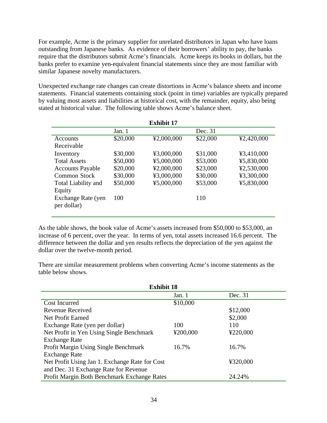For example, Acme is the primary supplier for unrelated distributors in Japan who have loans outstanding from Japanese banks. As evidence of their borrowers' ability to pay, the banks require that the distributors submit Acme's financials. Acme keeps its books in dollars, but the banks prefer to examine yen-equivalent financial statements since they are most familiar with similar Japanese novelty manufacturers.

Unexpected exchange rate changes can create distortions in Acme's balance sheets and income statements. Financial statements containing stock (point in time) variables are typically prepared by valuing most assets and liabilities at historical cost, with the remainder, equity, also being stated at historical value. The following table shows Acme's balance sheet.

| <b>Exhibit 17</b>          |          |            |          |            |
|----------------------------|----------|------------|----------|------------|
|                            | Jan. 1   |            | Dec. 31  |            |
| <b>Accounts</b>            | \$20,000 | ¥2,000,000 | \$22,000 | ¥2,420,000 |
| Receivable                 |          |            |          |            |
| Inventory                  | \$30,000 | ¥3,000,000 | \$31,000 | ¥3,410,000 |
| <b>Total Assets</b>        | \$50,000 | ¥5,000,000 | \$53,000 | ¥5,830,000 |
| <b>Accounts Payable</b>    | \$20,000 | ¥2,000,000 | \$23,000 | ¥2,530,000 |
| <b>Common Stock</b>        | \$30,000 | ¥3,000,000 | \$30,000 | ¥3,300,000 |
| <b>Total Liability and</b> | \$50,000 | ¥5,000,000 | \$53,000 | ¥5,830,000 |
| Equity                     |          |            |          |            |
| Exchange Rate (yen         | 100      |            | 110      |            |
| per dollar)                |          |            |          |            |
|                            |          |            |          |            |

As the table shows, the book value of Acme's assets increased from \$50,000 to \$53,000, an increase of 6 percent, over the year. In terms of yen, total assets increased 16.6 percent. The difference between the dollar and yen results reflects the depreciation of the yen against the dollar over the twelve-month period.

There are similar measurement problems when converting Acme's income statements as the table below shows.

| <b>Exhibit 18</b>                                     |          |          |  |  |
|-------------------------------------------------------|----------|----------|--|--|
|                                                       | Jan. $1$ | Dec. 31  |  |  |
| <b>Cost Incurred</b>                                  | \$10,000 |          |  |  |
| <b>Revenue Received</b>                               |          | \$12,000 |  |  |
| Net Profit Earned                                     |          | \$2,000  |  |  |
| Exchange Rate (yen per dollar)                        | 100      | 110      |  |  |
| Net Profit in Yen Using Single Benchmark              | ¥200,000 | ¥220,000 |  |  |
| <b>Exchange Rate</b>                                  |          |          |  |  |
| Profit Margin Using Single Benchmark                  | 16.7%    | 16.7%    |  |  |
| <b>Exchange Rate</b>                                  |          |          |  |  |
| Net Profit Using Jan 1. Exchange Rate for Cost        |          | ¥320,000 |  |  |
| and Dec. 31 Exchange Rate for Revenue                 |          |          |  |  |
| Profit Margin Both Benchmark Exchange Rates<br>24.24% |          |          |  |  |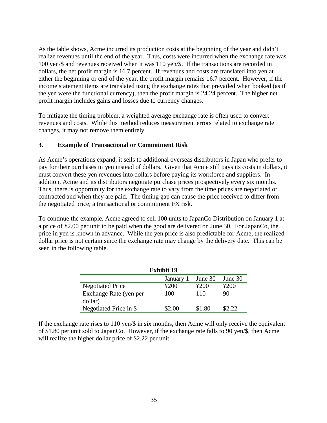As the table shows, Acme incurred its production costs at the beginning of the year and didn't realize revenues until the end of the year. Thus, costs were incurred when the exchange rate was 100 yen/\$ and revenues received when it was 110 yen/\$. If the transactions are recorded in dollars, the net profit margin is 16.7 percent. If revenues and costs are translated into yen at either the beginning or end of the year, the profit margin remains 16.7 percent. However, if the income statement items are translated using the exchange rates that prevailed when booked (as if the yen were the functional currency), then the profit margin is 24.24 percent. The higher net profit margin includes gains and losses due to currency changes.

To mitigate the timing problem, a weighted average exchange rate is often used to convert revenues and costs. While this method reduces measurement errors related to exchange rate changes, it may not remove them entirely.

### **3. Example of Transactional or Commitment Risk**

As Acme's operations expand, it sells to additional overseas distributors in Japan who prefer to pay for their purchases in yen instead of dollars. Given that Acme still pays its costs in dollars, it must convert these yen revenues into dollars before paying its workforce and suppliers. In addition, Acme and its distributors negotiate purchase prices prospectively every six months. Thus, there is opportunity for the exchange rate to vary from the time prices are negotiated or contracted and when they are paid. The timing gap can cause the price received to differ from the negotiated price; a transactional or commitment FX risk.

To continue the example, Acme agreed to sell 100 units to JapanCo Distribution on January 1 at a price of ¥2.00 per unit to be paid when the good are delivered on June 30. For JapanCo, the price in yen is known in advance. While the yen price is also predictable for Acme, the realized dollar price is not certain since the exchange rate may change by the delivery date. This can be seen in the following table.

| <b>Exhibit 19</b>       |           |         |         |  |
|-------------------------|-----------|---------|---------|--|
|                         | January 1 | June 30 | June 30 |  |
| <b>Negotiated Price</b> | 4200      | ¥200    | ¥200    |  |
| Exchange Rate (yen per  | 100       | 110     | 90      |  |
| dollar)                 |           |         |         |  |
| Negotiated Price in \$  | \$2.00    | \$1.80  | \$2.22  |  |

If the exchange rate rises to 110 yen/\$ in six months, then Acme will only receive the equivalent of \$1.80 per unit sold to JapanCo. However, if the exchange rate falls to 90 yen/\$, then Acme will realize the higher dollar price of \$2.22 per unit.